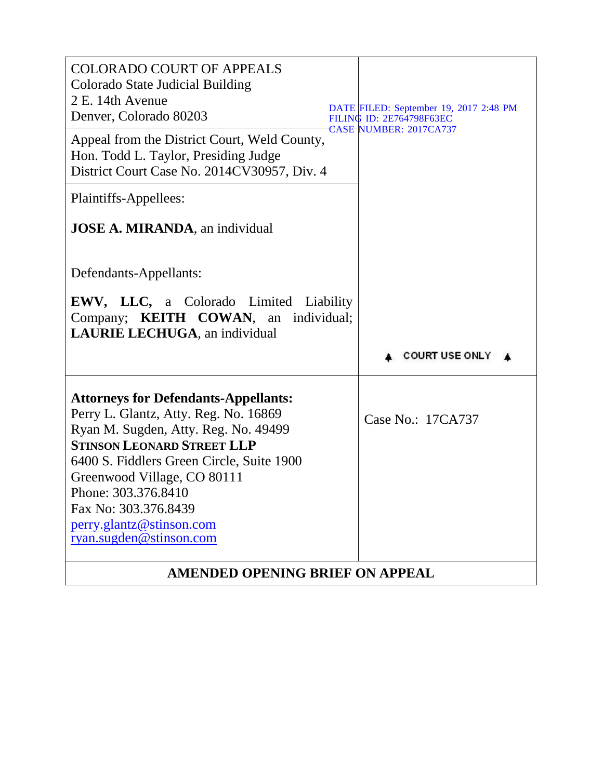| <b>COLORADO COURT OF APPEALS</b><br>Colorado State Judicial Building<br>2 E. 14th Avenue<br>Denver, Colorado 80203                                                                                                                                                                                                                                  | DATE FILED: September 19, 2017 2:48 PM<br><b>FILING ID: 2E764798F63EC</b><br>CASE NUMBER: 2017CA737 |
|-----------------------------------------------------------------------------------------------------------------------------------------------------------------------------------------------------------------------------------------------------------------------------------------------------------------------------------------------------|-----------------------------------------------------------------------------------------------------|
| Appeal from the District Court, Weld County,<br>Hon. Todd L. Taylor, Presiding Judge<br>District Court Case No. 2014CV30957, Div. 4                                                                                                                                                                                                                 |                                                                                                     |
| Plaintiffs-Appellees:                                                                                                                                                                                                                                                                                                                               |                                                                                                     |
| <b>JOSE A. MIRANDA</b> , an individual                                                                                                                                                                                                                                                                                                              |                                                                                                     |
| Defendants-Appellants:                                                                                                                                                                                                                                                                                                                              |                                                                                                     |
| <b>EWV, LLC, a Colorado Limited Liability</b><br>Company; <b>KEITH COWAN</b> , an individual;<br><b>LAURIE LECHUGA</b> , an individual                                                                                                                                                                                                              |                                                                                                     |
|                                                                                                                                                                                                                                                                                                                                                     |                                                                                                     |
|                                                                                                                                                                                                                                                                                                                                                     | <b>COURT USE ONLY</b>                                                                               |
| <b>Attorneys for Defendants-Appellants:</b><br>Perry L. Glantz, Atty. Reg. No. 16869<br>Ryan M. Sugden, Atty. Reg. No. 49499<br><b>STINSON LEONARD STREET LLP</b><br>6400 S. Fiddlers Green Circle, Suite 1900<br>Greenwood Village, CO 80111<br>Phone: 303.376.8410<br>Fax No: 303.376.8439<br>perry.glantz@stinson.com<br>ryan.sugden@stinson.com | Case No.: 17CA737                                                                                   |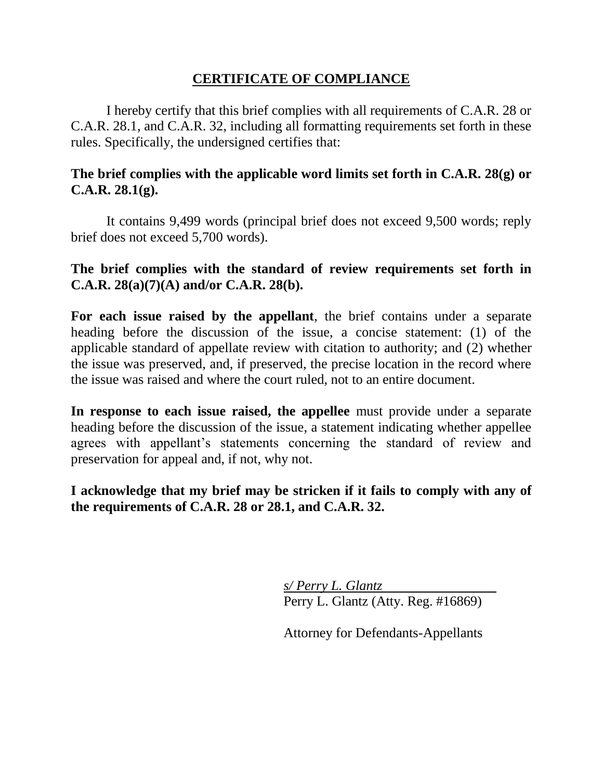# **CERTIFICATE OF COMPLIANCE**

I hereby certify that this brief complies with all requirements of C.A.R. 28 or C.A.R. 28.1, and C.A.R. 32, including all formatting requirements set forth in these rules. Specifically, the undersigned certifies that:

# **The brief complies with the applicable word limits set forth in C.A.R. 28(g) or C.A.R. 28.1(g).**

It contains 9,499 words (principal brief does not exceed 9,500 words; reply brief does not exceed 5,700 words).

# **The brief complies with the standard of review requirements set forth in C.A.R. 28(a)(7)(A) and/or C.A.R. 28(b).**

**For each issue raised by the appellant**, the brief contains under a separate heading before the discussion of the issue, a concise statement: (1) of the applicable standard of appellate review with citation to authority; and (2) whether the issue was preserved, and, if preserved, the precise location in the record where the issue was raised and where the court ruled, not to an entire document.

**In response to each issue raised, the appellee** must provide under a separate heading before the discussion of the issue, a statement indicating whether appellee agrees with appellant's statements concerning the standard of review and preservation for appeal and, if not, why not.

**I acknowledge that my brief may be stricken if it fails to comply with any of the requirements of C.A.R. 28 or 28.1, and C.A.R. 32.**

> *s/ Perry L. Glantz* Perry L. Glantz (Atty. Reg. #16869)

> Attorney for Defendants-Appellants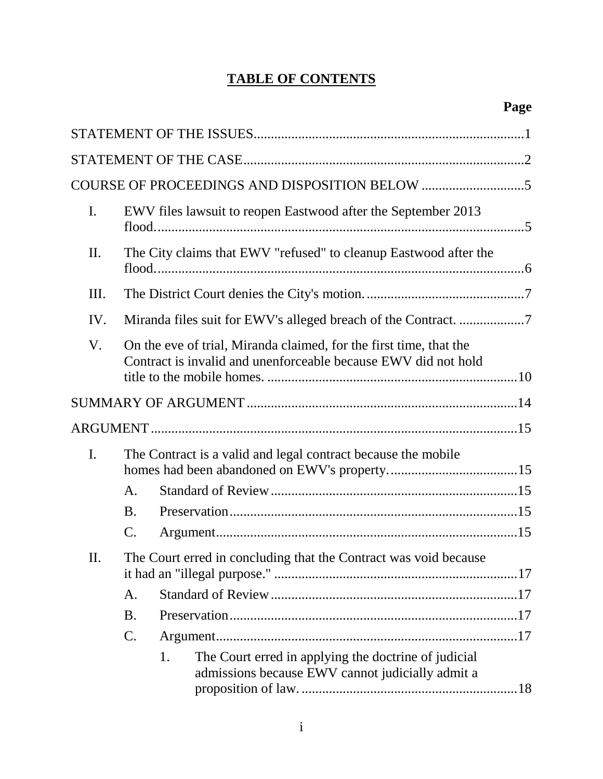# **TABLE OF CONTENTS**

| I.  |                                                                                                                                      | EWV files lawsuit to reopen Eastwood after the September 2013                                                  |  |
|-----|--------------------------------------------------------------------------------------------------------------------------------------|----------------------------------------------------------------------------------------------------------------|--|
| II. | The City claims that EWV "refused" to cleanup Eastwood after the                                                                     |                                                                                                                |  |
| Ш.  |                                                                                                                                      |                                                                                                                |  |
| IV. |                                                                                                                                      |                                                                                                                |  |
| V.  | On the eve of trial, Miranda claimed, for the first time, that the<br>Contract is invalid and unenforceable because EWV did not hold |                                                                                                                |  |
|     |                                                                                                                                      |                                                                                                                |  |
|     |                                                                                                                                      |                                                                                                                |  |
| I.  |                                                                                                                                      | The Contract is a valid and legal contract because the mobile                                                  |  |
|     | A.                                                                                                                                   |                                                                                                                |  |
|     | <b>B.</b>                                                                                                                            |                                                                                                                |  |
|     | $\mathcal{C}$ .                                                                                                                      |                                                                                                                |  |
| II. |                                                                                                                                      | The Court erred in concluding that the Contract was void because                                               |  |
|     | A.                                                                                                                                   |                                                                                                                |  |
|     | <b>B.</b>                                                                                                                            |                                                                                                                |  |
|     | C.                                                                                                                                   |                                                                                                                |  |
|     |                                                                                                                                      | The Court erred in applying the doctrine of judicial<br>1.<br>admissions because EWV cannot judicially admit a |  |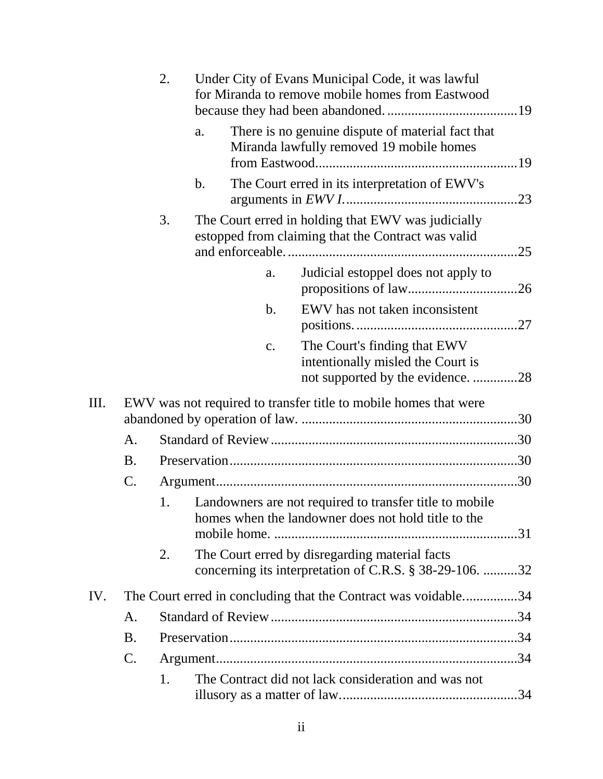|     |           | 2. |    |                | Under City of Evans Municipal Code, it was lawful<br>for Miranda to remove mobile homes from Eastwood          |     |
|-----|-----------|----|----|----------------|----------------------------------------------------------------------------------------------------------------|-----|
|     |           |    | a. |                | There is no genuine dispute of material fact that<br>Miranda lawfully removed 19 mobile homes                  |     |
|     |           |    | b. |                | The Court erred in its interpretation of EWV's                                                                 |     |
|     |           | 3. |    |                | The Court erred in holding that EWV was judicially<br>estopped from claiming that the Contract was valid       | .25 |
|     |           |    |    | a.             | Judicial estoppel does not apply to                                                                            |     |
|     |           |    |    | b.             | EWV has not taken inconsistent                                                                                 |     |
|     |           |    |    | $\mathbf{c}$ . | The Court's finding that EWV<br>intentionally misled the Court is<br>not supported by the evidence. 28         |     |
| Ш.  |           |    |    |                | EWV was not required to transfer title to mobile homes that were                                               |     |
|     | A.        |    |    |                |                                                                                                                |     |
|     | <b>B.</b> |    |    |                |                                                                                                                |     |
|     | C.        |    |    |                |                                                                                                                |     |
|     |           | 1. |    |                | Landowners are not required to transfer title to mobile<br>homes when the landowner does not hold title to the |     |
|     |           | 2. |    |                | The Court erred by disregarding material facts<br>concerning its interpretation of C.R.S. § 38-29-106. 32      |     |
| IV. |           |    |    |                | The Court erred in concluding that the Contract was voidable34                                                 |     |
|     | A.        |    |    |                |                                                                                                                |     |
|     | <b>B.</b> |    |    |                |                                                                                                                |     |
|     | C.        |    |    |                |                                                                                                                |     |
|     |           | 1. |    |                | The Contract did not lack consideration and was not                                                            |     |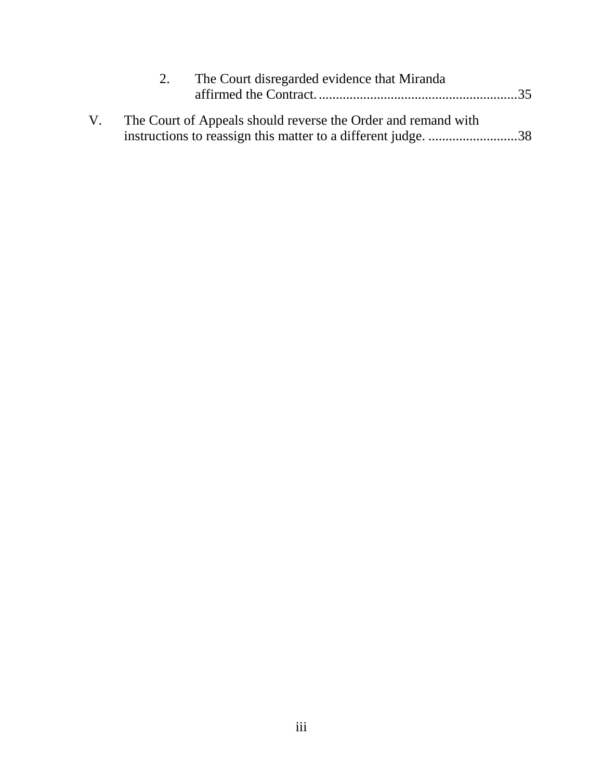|    | The Court disregarded evidence that Miranda<br>2.             |  |
|----|---------------------------------------------------------------|--|
| V. | The Court of Appeals should reverse the Order and remand with |  |
|    | instructions to reassign this matter to a different judge. 38 |  |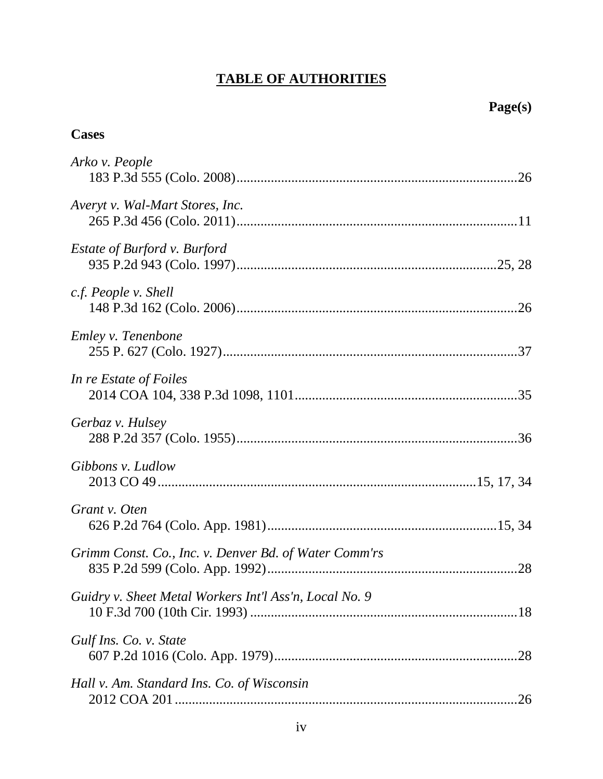# **TABLE OF AUTHORITIES**

**Cases**

| Arko v. People                                         |  |
|--------------------------------------------------------|--|
| Averyt v. Wal-Mart Stores, Inc.                        |  |
| <i>Estate of Burford v. Burford</i>                    |  |
| c.f. People v. Shell                                   |  |
| Emley v. Tenenbone                                     |  |
| In re Estate of Foiles                                 |  |
| Gerbaz v. Hulsey                                       |  |
| Gibbons v. Ludlow                                      |  |
| Grant v. Oten                                          |  |
| Grimm Const. Co., Inc. v. Denver Bd. of Water Comm'rs  |  |
| Guidry v. Sheet Metal Workers Int'l Ass'n, Local No. 9 |  |
| Gulf Ins. Co. v. State                                 |  |
| Hall v. Am. Standard Ins. Co. of Wisconsin             |  |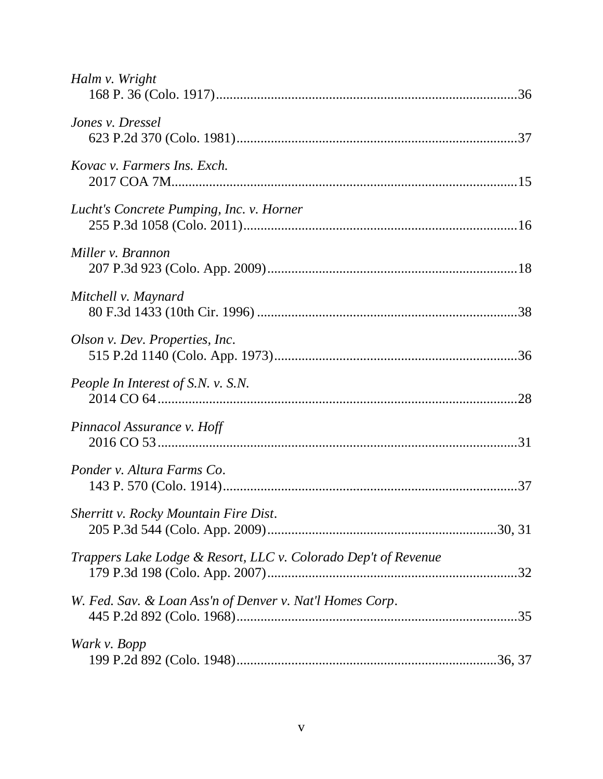| Halm v. Wright                                                 |  |
|----------------------------------------------------------------|--|
| Jones v. Dressel                                               |  |
| Kovac v. Farmers Ins. Exch.                                    |  |
| Lucht's Concrete Pumping, Inc. v. Horner                       |  |
| Miller v. Brannon                                              |  |
| Mitchell v. Maynard                                            |  |
| Olson v. Dev. Properties, Inc.                                 |  |
| People In Interest of S.N. v. S.N.                             |  |
| Pinnacol Assurance v. Hoff                                     |  |
| Ponder v. Altura Farms Co.                                     |  |
| <b>Sherritt v. Rocky Mountain Fire Dist.</b>                   |  |
| Trappers Lake Lodge & Resort, LLC v. Colorado Dep't of Revenue |  |
| W. Fed. Sav. & Loan Ass'n of Denver v. Nat'l Homes Corp.       |  |
| Wark v. Bopp                                                   |  |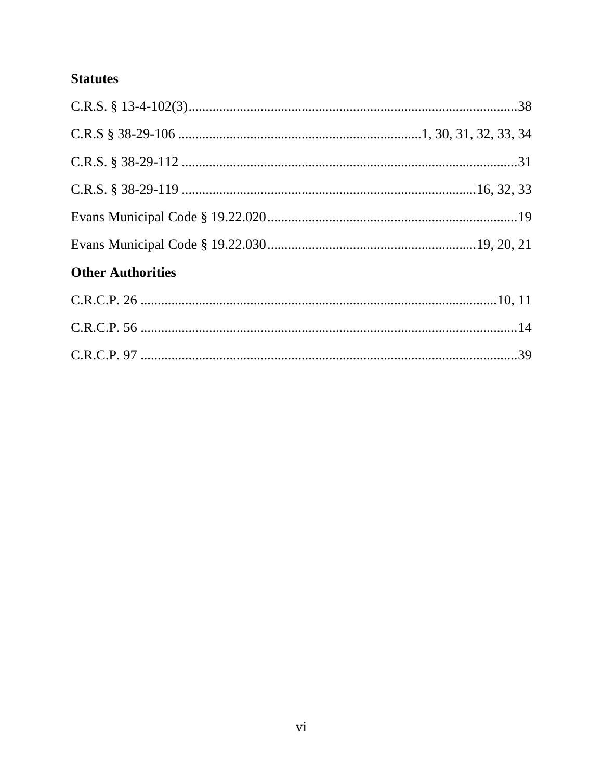# **Statutes**

| <b>Other Authorities</b> |  |
|--------------------------|--|
|                          |  |
|                          |  |
|                          |  |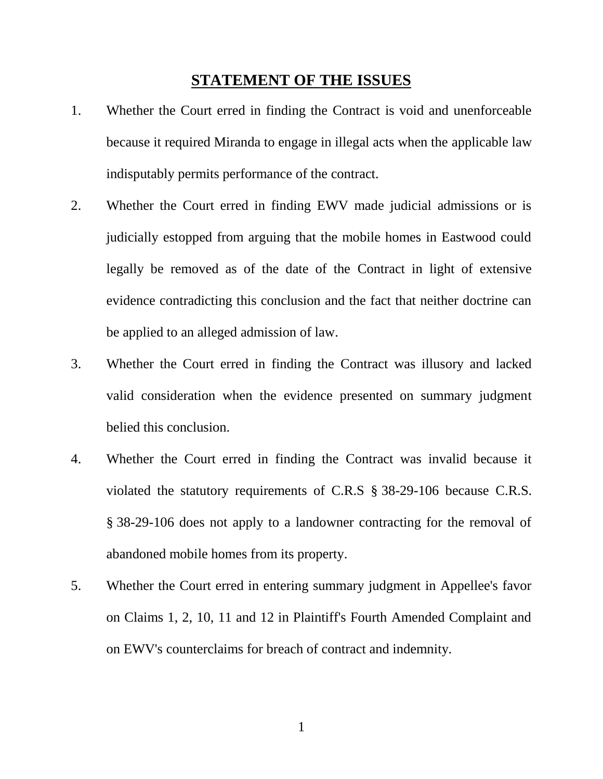### **STATEMENT OF THE ISSUES**

- <span id="page-8-0"></span>1. Whether the Court erred in finding the Contract is void and unenforceable because it required Miranda to engage in illegal acts when the applicable law indisputably permits performance of the contract.
- 2. Whether the Court erred in finding EWV made judicial admissions or is judicially estopped from arguing that the mobile homes in Eastwood could legally be removed as of the date of the Contract in light of extensive evidence contradicting this conclusion and the fact that neither doctrine can be applied to an alleged admission of law.
- 3. Whether the Court erred in finding the Contract was illusory and lacked valid consideration when the evidence presented on summary judgment belied this conclusion.
- <span id="page-8-1"></span>4. Whether the Court erred in finding the Contract was invalid because it violated the statutory requirements of C.R.S § 38-29-106 because C.R.S. § 38-29-106 does not apply to a landowner contracting for the removal of abandoned mobile homes from its property.
- 5. Whether the Court erred in entering summary judgment in Appellee's favor on Claims 1, 2, 10, 11 and 12 in Plaintiff's Fourth Amended Complaint and on EWV's counterclaims for breach of contract and indemnity.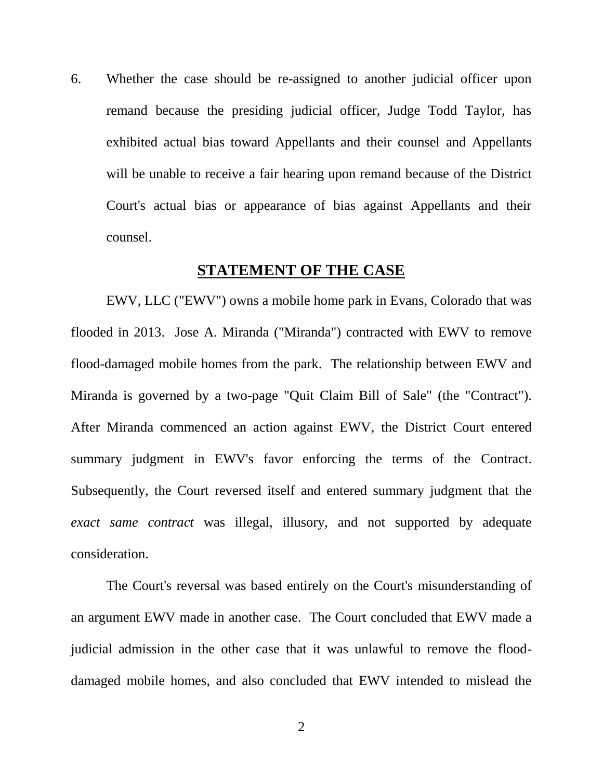6. Whether the case should be re-assigned to another judicial officer upon remand because the presiding judicial officer, Judge Todd Taylor, has exhibited actual bias toward Appellants and their counsel and Appellants will be unable to receive a fair hearing upon remand because of the District Court's actual bias or appearance of bias against Appellants and their counsel.

## **STATEMENT OF THE CASE**

<span id="page-9-0"></span>EWV, LLC ("EWV") owns a mobile home park in Evans, Colorado that was flooded in 2013. Jose A. Miranda ("Miranda") contracted with EWV to remove flood-damaged mobile homes from the park. The relationship between EWV and Miranda is governed by a two-page "Quit Claim Bill of Sale" (the "Contract"). After Miranda commenced an action against EWV, the District Court entered summary judgment in EWV's favor enforcing the terms of the Contract. Subsequently, the Court reversed itself and entered summary judgment that the *exact same contract* was illegal, illusory, and not supported by adequate consideration.

The Court's reversal was based entirely on the Court's misunderstanding of an argument EWV made in another case. The Court concluded that EWV made a judicial admission in the other case that it was unlawful to remove the flooddamaged mobile homes, and also concluded that EWV intended to mislead the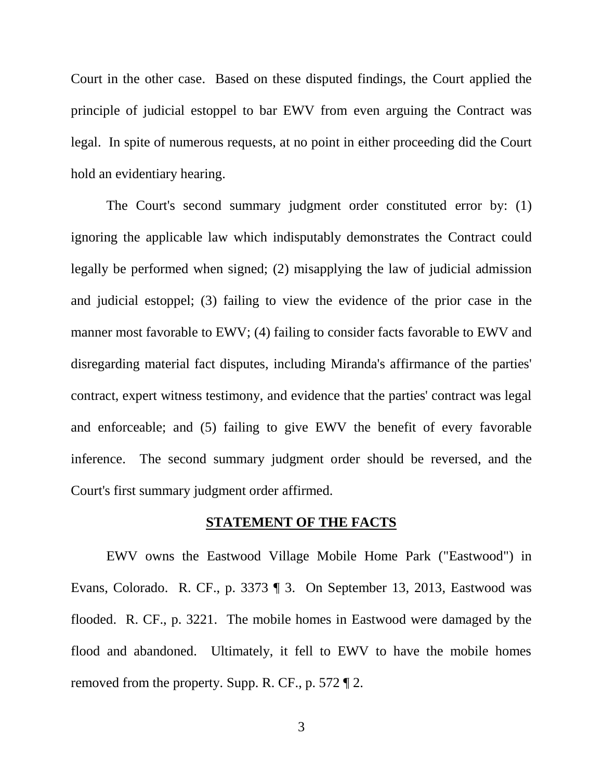Court in the other case. Based on these disputed findings, the Court applied the principle of judicial estoppel to bar EWV from even arguing the Contract was legal. In spite of numerous requests, at no point in either proceeding did the Court hold an evidentiary hearing.

The Court's second summary judgment order constituted error by: (1) ignoring the applicable law which indisputably demonstrates the Contract could legally be performed when signed; (2) misapplying the law of judicial admission and judicial estoppel; (3) failing to view the evidence of the prior case in the manner most favorable to EWV; (4) failing to consider facts favorable to EWV and disregarding material fact disputes, including Miranda's affirmance of the parties' contract, expert witness testimony, and evidence that the parties' contract was legal and enforceable; and (5) failing to give EWV the benefit of every favorable inference. The second summary judgment order should be reversed, and the Court's first summary judgment order affirmed.

#### **STATEMENT OF THE FACTS**

EWV owns the Eastwood Village Mobile Home Park ("Eastwood") in Evans, Colorado. R. CF., p. 3373 ¶ 3. On September 13, 2013, Eastwood was flooded. R. CF., p. 3221. The mobile homes in Eastwood were damaged by the flood and abandoned. Ultimately, it fell to EWV to have the mobile homes removed from the property. Supp. R. CF., p. 572 ¶ 2.

3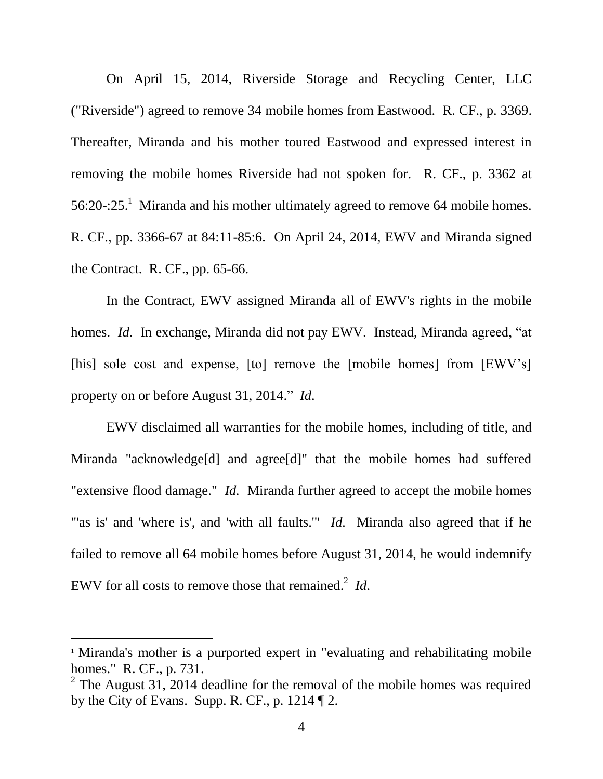On April 15, 2014, Riverside Storage and Recycling Center, LLC ("Riverside") agreed to remove 34 mobile homes from Eastwood. R. CF., p. 3369. Thereafter, Miranda and his mother toured Eastwood and expressed interest in removing the mobile homes Riverside had not spoken for. R. CF., p. 3362 at 56:20-:25.<sup>1</sup> Miranda and his mother ultimately agreed to remove 64 mobile homes. R. CF., pp. 3366-67 at 84:11-85:6. On April 24, 2014, EWV and Miranda signed the Contract. R. CF., pp. 65-66.

In the Contract, EWV assigned Miranda all of EWV's rights in the mobile homes. *Id*. In exchange, Miranda did not pay EWV. Instead, Miranda agreed, "at [his] sole cost and expense, [to] remove the [mobile homes] from [EWV's] property on or before August 31, 2014." *Id*.

EWV disclaimed all warranties for the mobile homes, including of title, and Miranda "acknowledge[d] and agree[d]" that the mobile homes had suffered "extensive flood damage." *Id.* Miranda further agreed to accept the mobile homes "'as is' and 'where is', and 'with all faults." *Id.* Miranda also agreed that if he failed to remove all 64 mobile homes before August 31, 2014, he would indemnify EWV for all costs to remove those that remained. 2 *Id*.

 $\overline{a}$ 

<sup>&</sup>lt;sup>1</sup> Miranda's mother is a purported expert in "evaluating and rehabilitating mobile homes." R. CF., p. 731.

<sup>&</sup>lt;sup>2</sup> The August 31, 2014 deadline for the removal of the mobile homes was required by the City of Evans. Supp. R. CF., p. 1214 ¶ 2.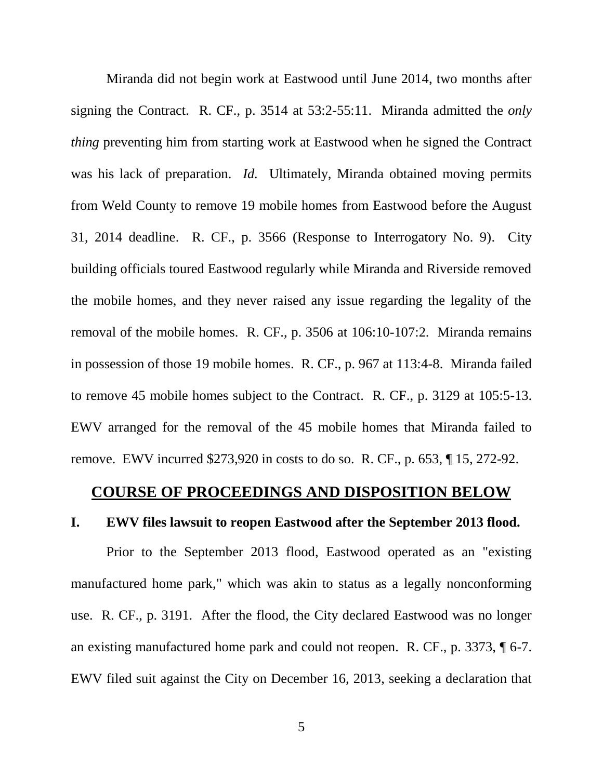Miranda did not begin work at Eastwood until June 2014, two months after signing the Contract. R. CF., p. 3514 at 53:2-55:11. Miranda admitted the *only thing* preventing him from starting work at Eastwood when he signed the Contract was his lack of preparation. *Id.* Ultimately, Miranda obtained moving permits from Weld County to remove 19 mobile homes from Eastwood before the August 31, 2014 deadline. R. CF., p. 3566 (Response to Interrogatory No. 9). City building officials toured Eastwood regularly while Miranda and Riverside removed the mobile homes, and they never raised any issue regarding the legality of the removal of the mobile homes. R. CF., p. 3506 at 106:10-107:2. Miranda remains in possession of those 19 mobile homes. R. CF., p. 967 at 113:4-8. Miranda failed to remove 45 mobile homes subject to the Contract. R. CF., p. 3129 at 105:5-13. EWV arranged for the removal of the 45 mobile homes that Miranda failed to remove. EWV incurred \$273,920 in costs to do so. R. CF., p. 653, ¶ 15, 272-92.

### <span id="page-12-0"></span>**COURSE OF PROCEEDINGS AND DISPOSITION BELOW**

#### <span id="page-12-1"></span>**I. EWV files lawsuit to reopen Eastwood after the September 2013 flood.**

Prior to the September 2013 flood, Eastwood operated as an "existing manufactured home park," which was akin to status as a legally nonconforming use. R. CF., p. 3191. After the flood, the City declared Eastwood was no longer an existing manufactured home park and could not reopen. R. CF., p. 3373, ¶ 6-7. EWV filed suit against the City on December 16, 2013, seeking a declaration that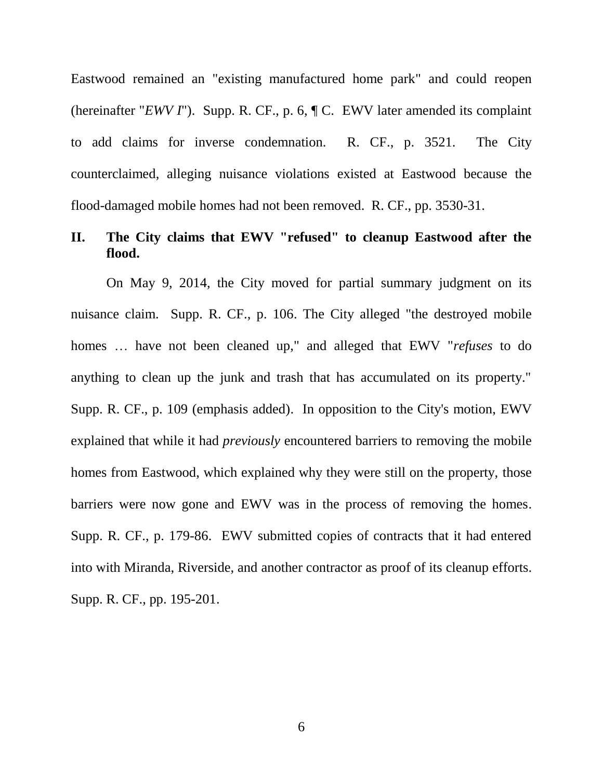Eastwood remained an "existing manufactured home park" and could reopen (hereinafter "*EWV I*"). Supp. R. CF., p. 6, ¶ C. EWV later amended its complaint to add claims for inverse condemnation. R. CF., p. 3521. The City counterclaimed, alleging nuisance violations existed at Eastwood because the flood-damaged mobile homes had not been removed. R. CF., pp. 3530-31.

# <span id="page-13-0"></span>**II. The City claims that EWV "refused" to cleanup Eastwood after the flood.**

On May 9, 2014, the City moved for partial summary judgment on its nuisance claim. Supp. R. CF., p. 106. The City alleged "the destroyed mobile homes … have not been cleaned up," and alleged that EWV "*refuses* to do anything to clean up the junk and trash that has accumulated on its property." Supp. R. CF., p. 109 (emphasis added). In opposition to the City's motion, EWV explained that while it had *previously* encountered barriers to removing the mobile homes from Eastwood, which explained why they were still on the property, those barriers were now gone and EWV was in the process of removing the homes. Supp. R. CF., p. 179-86. EWV submitted copies of contracts that it had entered into with Miranda, Riverside, and another contractor as proof of its cleanup efforts. Supp. R. CF., pp. 195-201.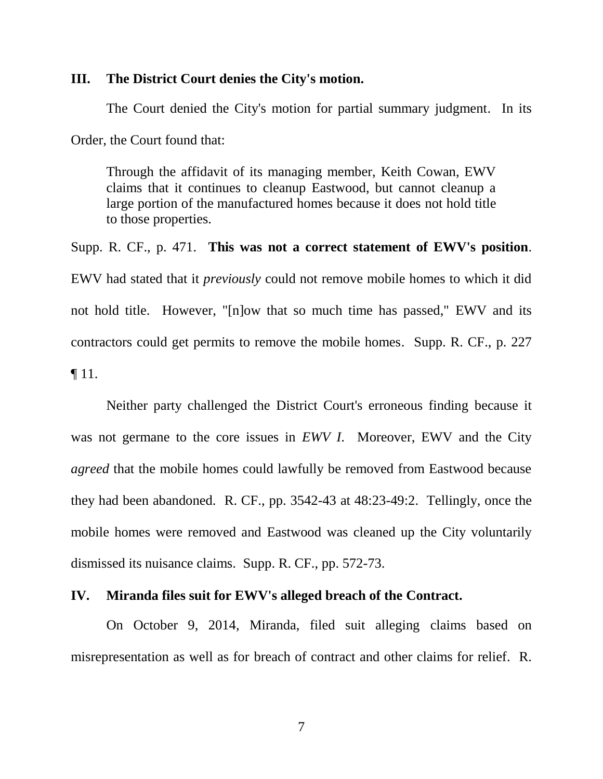#### <span id="page-14-0"></span>**III. The District Court denies the City's motion.**

The Court denied the City's motion for partial summary judgment. In its Order, the Court found that:

Through the affidavit of its managing member, Keith Cowan, EWV claims that it continues to cleanup Eastwood, but cannot cleanup a large portion of the manufactured homes because it does not hold title to those properties.

Supp. R. CF., p. 471. **This was not a correct statement of EWV's position**. EWV had stated that it *previously* could not remove mobile homes to which it did not hold title. However, "[n]ow that so much time has passed," EWV and its contractors could get permits to remove the mobile homes. Supp. R. CF., p. 227  $\P$  11.

Neither party challenged the District Court's erroneous finding because it was not germane to the core issues in *EWV I*. Moreover, EWV and the City *agreed* that the mobile homes could lawfully be removed from Eastwood because they had been abandoned. R. CF., pp. 3542-43 at 48:23-49:2. Tellingly, once the mobile homes were removed and Eastwood was cleaned up the City voluntarily dismissed its nuisance claims. Supp. R. CF., pp. 572-73.

#### <span id="page-14-1"></span>**IV. Miranda files suit for EWV's alleged breach of the Contract.**

On October 9, 2014, Miranda, filed suit alleging claims based on misrepresentation as well as for breach of contract and other claims for relief. R.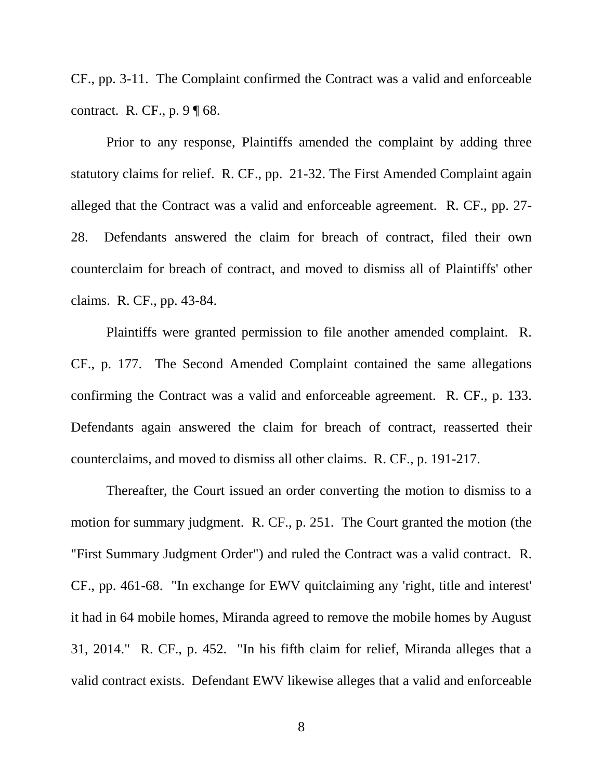CF., pp. 3-11. The Complaint confirmed the Contract was a valid and enforceable contract. R. CF., p. 9 ¶ 68.

Prior to any response, Plaintiffs amended the complaint by adding three statutory claims for relief. R. CF., pp. 21-32. The First Amended Complaint again alleged that the Contract was a valid and enforceable agreement. R. CF., pp. 27- 28. Defendants answered the claim for breach of contract, filed their own counterclaim for breach of contract, and moved to dismiss all of Plaintiffs' other claims. R. CF., pp. 43-84.

Plaintiffs were granted permission to file another amended complaint. R. CF., p. 177. The Second Amended Complaint contained the same allegations confirming the Contract was a valid and enforceable agreement. R. CF., p. 133. Defendants again answered the claim for breach of contract, reasserted their counterclaims, and moved to dismiss all other claims. R. CF., p. 191-217.

Thereafter, the Court issued an order converting the motion to dismiss to a motion for summary judgment. R. CF., p. 251. The Court granted the motion (the "First Summary Judgment Order") and ruled the Contract was a valid contract. R. CF., pp. 461-68. "In exchange for EWV quitclaiming any 'right, title and interest' it had in 64 mobile homes, Miranda agreed to remove the mobile homes by August 31, 2014." R. CF., p. 452. "In his fifth claim for relief, Miranda alleges that a valid contract exists. Defendant EWV likewise alleges that a valid and enforceable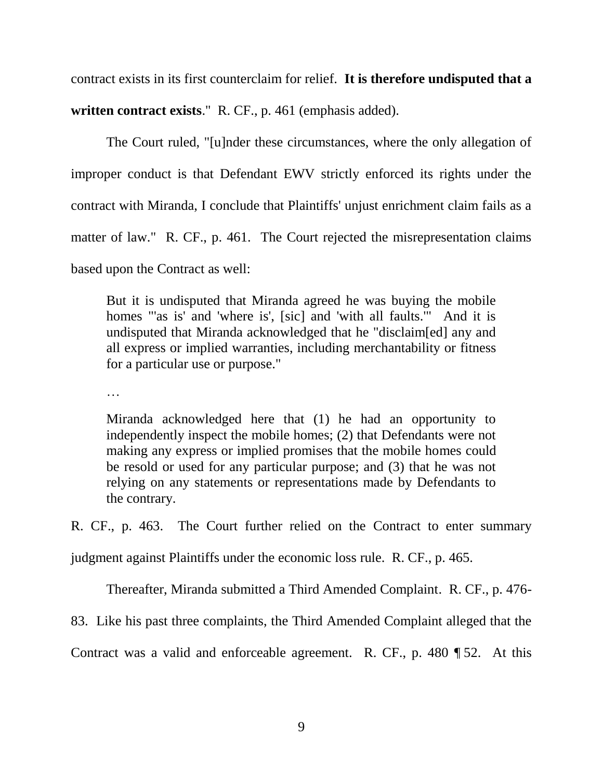contract exists in its first counterclaim for relief. **It is therefore undisputed that a** 

**written contract exists**." R. CF., p. 461 (emphasis added).

The Court ruled, "[u]nder these circumstances, where the only allegation of improper conduct is that Defendant EWV strictly enforced its rights under the contract with Miranda, I conclude that Plaintiffs' unjust enrichment claim fails as a matter of law." R. CF., p. 461. The Court rejected the misrepresentation claims based upon the Contract as well:

But it is undisputed that Miranda agreed he was buying the mobile homes "'as is' and 'where is', [sic] and 'with all faults.'" And it is undisputed that Miranda acknowledged that he "disclaim[ed] any and all express or implied warranties, including merchantability or fitness for a particular use or purpose."

…

Miranda acknowledged here that (1) he had an opportunity to independently inspect the mobile homes; (2) that Defendants were not making any express or implied promises that the mobile homes could be resold or used for any particular purpose; and (3) that he was not relying on any statements or representations made by Defendants to the contrary.

R. CF., p. 463. The Court further relied on the Contract to enter summary

judgment against Plaintiffs under the economic loss rule. R. CF., p. 465.

Thereafter, Miranda submitted a Third Amended Complaint. R. CF., p. 476-

83. Like his past three complaints, the Third Amended Complaint alleged that the

Contract was a valid and enforceable agreement. R. CF., p. 480  $\P$  52. At this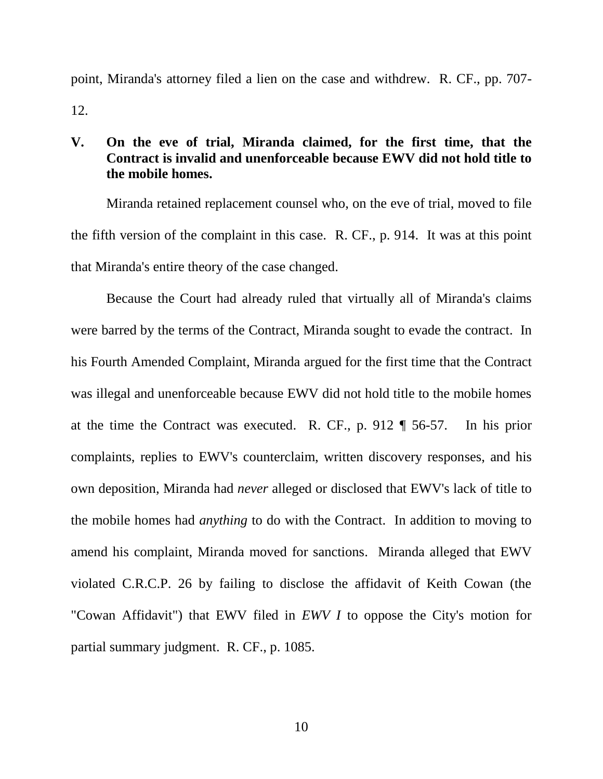point, Miranda's attorney filed a lien on the case and withdrew. R. CF., pp. 707- 12.

# <span id="page-17-0"></span>**V. On the eve of trial, Miranda claimed, for the first time, that the Contract is invalid and unenforceable because EWV did not hold title to the mobile homes.**

Miranda retained replacement counsel who, on the eve of trial, moved to file the fifth version of the complaint in this case. R. CF., p. 914. It was at this point that Miranda's entire theory of the case changed.

<span id="page-17-1"></span>Because the Court had already ruled that virtually all of Miranda's claims were barred by the terms of the Contract, Miranda sought to evade the contract. In his Fourth Amended Complaint, Miranda argued for the first time that the Contract was illegal and unenforceable because EWV did not hold title to the mobile homes at the time the Contract was executed. R. CF., p. 912 ¶ 56-57. In his prior complaints, replies to EWV's counterclaim, written discovery responses, and his own deposition, Miranda had *never* alleged or disclosed that EWV's lack of title to the mobile homes had *anything* to do with the Contract. In addition to moving to amend his complaint, Miranda moved for sanctions. Miranda alleged that EWV violated C.R.C.P. 26 by failing to disclose the affidavit of Keith Cowan (the "Cowan Affidavit") that EWV filed in *EWV I* to oppose the City's motion for partial summary judgment. R. CF., p. 1085.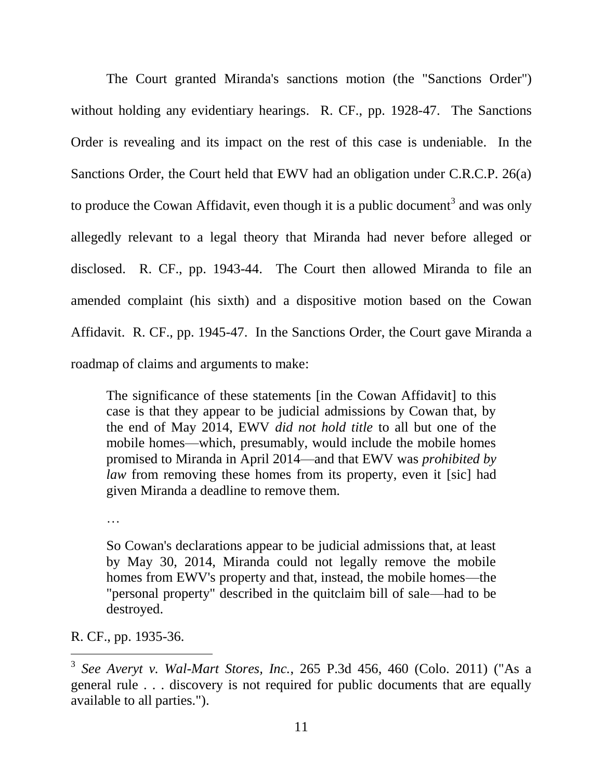The Court granted Miranda's sanctions motion (the "Sanctions Order") without holding any evidentiary hearings. R. CF., pp. 1928-47. The Sanctions Order is revealing and its impact on the rest of this case is undeniable. In the Sanctions Order, the Court held that EWV had an obligation under C.R.C.P. 26(a) to produce the Cowan Affidavit, even though it is a public document<sup>3</sup> and was only allegedly relevant to a legal theory that Miranda had never before alleged or disclosed. R. CF., pp. 1943-44. The Court then allowed Miranda to file an amended complaint (his sixth) and a dispositive motion based on the Cowan Affidavit. R. CF., pp. 1945-47. In the Sanctions Order, the Court gave Miranda a roadmap of claims and arguments to make:

The significance of these statements [in the Cowan Affidavit] to this case is that they appear to be judicial admissions by Cowan that, by the end of May 2014, EWV *did not hold title* to all but one of the mobile homes—which, presumably, would include the mobile homes promised to Miranda in April 2014—and that EWV was *prohibited by law* from removing these homes from its property, even it [sic] had given Miranda a deadline to remove them.

…

So Cowan's declarations appear to be judicial admissions that, at least by May 30, 2014, Miranda could not legally remove the mobile homes from EWV's property and that, instead, the mobile homes—the "personal property" described in the quitclaim bill of sale—had to be destroyed.

R. CF., pp. 1935-36.

 $\overline{a}$ 

<span id="page-18-0"></span><sup>3</sup> *See Averyt v. Wal-Mart Stores, Inc.*, 265 P.3d 456, 460 (Colo. 2011) ("As a general rule . . . discovery is not required for public documents that are equally available to all parties.").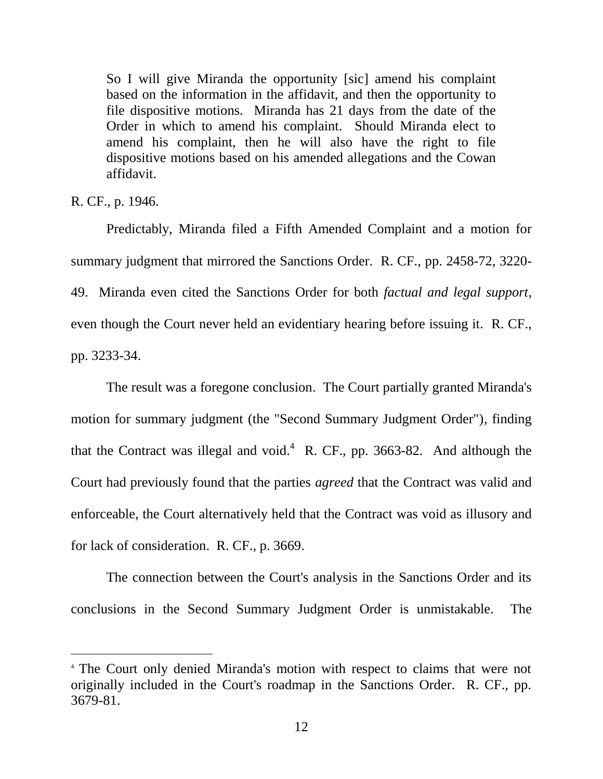So I will give Miranda the opportunity [sic] amend his complaint based on the information in the affidavit, and then the opportunity to file dispositive motions. Miranda has 21 days from the date of the Order in which to amend his complaint. Should Miranda elect to amend his complaint, then he will also have the right to file dispositive motions based on his amended allegations and the Cowan affidavit.

R. CF., p. 1946.

 $\overline{a}$ 

Predictably, Miranda filed a Fifth Amended Complaint and a motion for summary judgment that mirrored the Sanctions Order. R. CF., pp. 2458-72, 3220- 49. Miranda even cited the Sanctions Order for both *factual and legal support*, even though the Court never held an evidentiary hearing before issuing it. R. CF., pp. 3233-34.

The result was a foregone conclusion. The Court partially granted Miranda's motion for summary judgment (the "Second Summary Judgment Order"), finding that the Contract was illegal and void.<sup>4</sup> R. CF., pp. 3663-82. And although the Court had previously found that the parties *agreed* that the Contract was valid and enforceable, the Court alternatively held that the Contract was void as illusory and for lack of consideration. R. CF., p. 3669.

The connection between the Court's analysis in the Sanctions Order and its conclusions in the Second Summary Judgment Order is unmistakable. The

<sup>4</sup> The Court only denied Miranda's motion with respect to claims that were not originally included in the Court's roadmap in the Sanctions Order. R. CF., pp. 3679-81.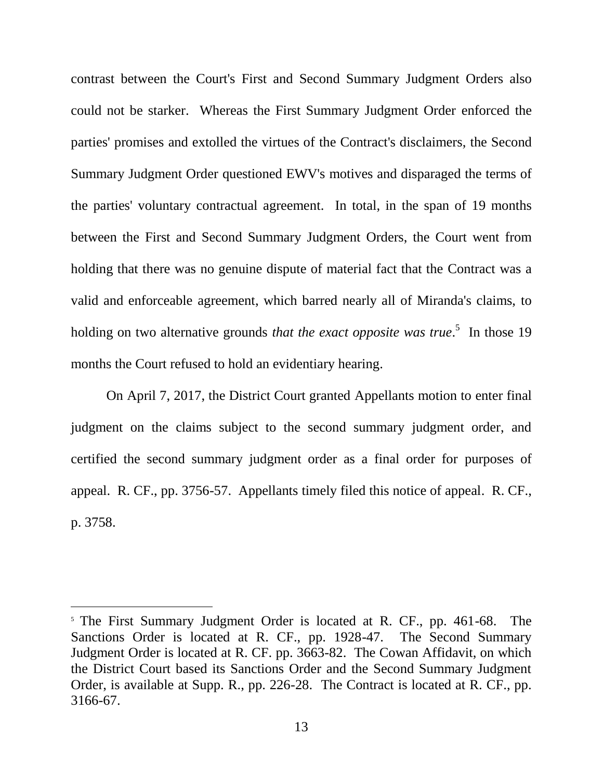contrast between the Court's First and Second Summary Judgment Orders also could not be starker. Whereas the First Summary Judgment Order enforced the parties' promises and extolled the virtues of the Contract's disclaimers, the Second Summary Judgment Order questioned EWV's motives and disparaged the terms of the parties' voluntary contractual agreement. In total, in the span of 19 months between the First and Second Summary Judgment Orders, the Court went from holding that there was no genuine dispute of material fact that the Contract was a valid and enforceable agreement, which barred nearly all of Miranda's claims, to holding on two alternative grounds *that the exact opposite was true*.<sup>5</sup> In those 19 months the Court refused to hold an evidentiary hearing.

On April 7, 2017, the District Court granted Appellants motion to enter final judgment on the claims subject to the second summary judgment order, and certified the second summary judgment order as a final order for purposes of appeal. R. CF., pp. 3756-57. Appellants timely filed this notice of appeal. R. CF., p. 3758.

l

<sup>&</sup>lt;sup>5</sup> The First Summary Judgment Order is located at R. CF., pp. 461-68. The Sanctions Order is located at R. CF., pp. 1928-47. The Second Summary Judgment Order is located at R. CF. pp. 3663-82. The Cowan Affidavit, on which the District Court based its Sanctions Order and the Second Summary Judgment Order, is available at Supp. R., pp. 226-28. The Contract is located at R. CF., pp. 3166-67.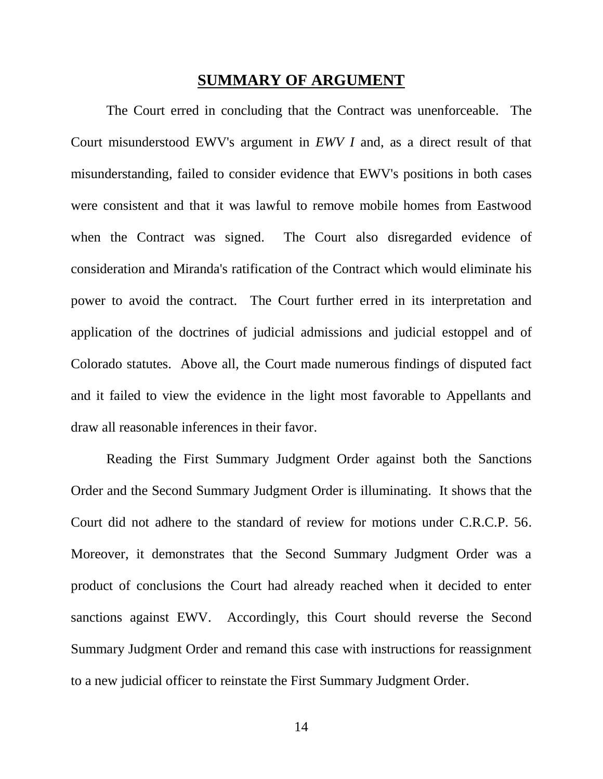### **SUMMARY OF ARGUMENT**

<span id="page-21-0"></span>The Court erred in concluding that the Contract was unenforceable. The Court misunderstood EWV's argument in *EWV I* and, as a direct result of that misunderstanding, failed to consider evidence that EWV's positions in both cases were consistent and that it was lawful to remove mobile homes from Eastwood when the Contract was signed. The Court also disregarded evidence of consideration and Miranda's ratification of the Contract which would eliminate his power to avoid the contract. The Court further erred in its interpretation and application of the doctrines of judicial admissions and judicial estoppel and of Colorado statutes. Above all, the Court made numerous findings of disputed fact and it failed to view the evidence in the light most favorable to Appellants and draw all reasonable inferences in their favor.

<span id="page-21-1"></span>Reading the First Summary Judgment Order against both the Sanctions Order and the Second Summary Judgment Order is illuminating. It shows that the Court did not adhere to the standard of review for motions under C.R.C.P. 56. Moreover, it demonstrates that the Second Summary Judgment Order was a product of conclusions the Court had already reached when it decided to enter sanctions against EWV. Accordingly, this Court should reverse the Second Summary Judgment Order and remand this case with instructions for reassignment to a new judicial officer to reinstate the First Summary Judgment Order.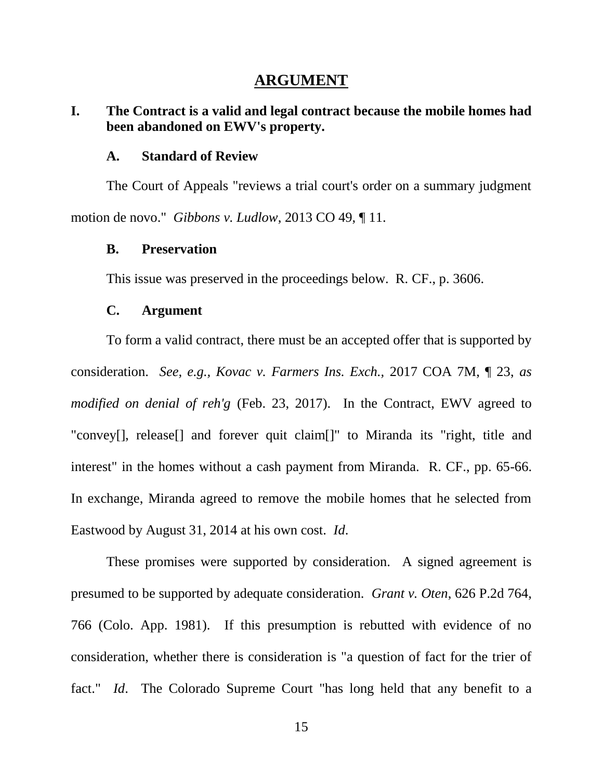### **ARGUMENT**

# <span id="page-22-1"></span><span id="page-22-0"></span>**I. The Contract is a valid and legal contract because the mobile homes had been abandoned on EWV's property.**

#### **A. Standard of Review**

<span id="page-22-2"></span>The Court of Appeals "reviews a trial court's order on a summary judgment motion de novo." *Gibbons v. Ludlow*, 2013 CO 49, ¶ 11.

#### <span id="page-22-5"></span><span id="page-22-3"></span>**B. Preservation**

This issue was preserved in the proceedings below. R. CF., p. 3606.

### <span id="page-22-7"></span>**C. Argument**

<span id="page-22-4"></span>To form a valid contract, there must be an accepted offer that is supported by consideration. *See, e.g., Kovac v. Farmers Ins. Exch.,* 2017 COA 7M, ¶ 23, *as modified on denial of reh'g* (Feb. 23, 2017). In the Contract, EWV agreed to "convey[], release[] and forever quit claim<sup>[]"</sup> to Miranda its "right, title and interest" in the homes without a cash payment from Miranda. R. CF., pp. 65-66. In exchange, Miranda agreed to remove the mobile homes that he selected from Eastwood by August 31, 2014 at his own cost. *Id*.

<span id="page-22-6"></span>These promises were supported by consideration. A signed agreement is presumed to be supported by adequate consideration. *Grant v. Oten*, 626 P.2d 764, 766 (Colo. App. 1981). If this presumption is rebutted with evidence of no consideration, whether there is consideration is "a question of fact for the trier of fact." *Id*. The Colorado Supreme Court "has long held that any benefit to a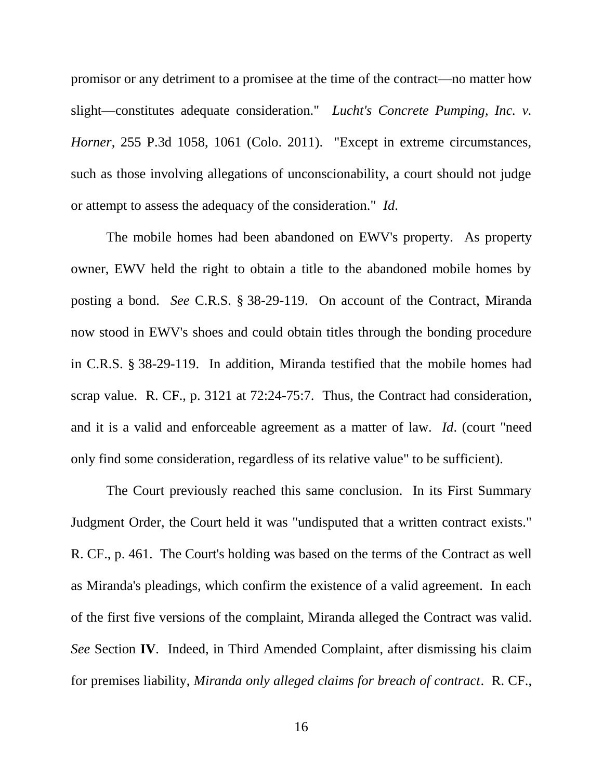<span id="page-23-0"></span>promisor or any detriment to a promisee at the time of the contract—no matter how slight—constitutes adequate consideration." *Lucht's Concrete Pumping, Inc. v. Horner*, 255 P.3d 1058, 1061 (Colo. 2011). "Except in extreme circumstances, such as those involving allegations of unconscionability, a court should not judge or attempt to assess the adequacy of the consideration." *Id*.

<span id="page-23-1"></span>The mobile homes had been abandoned on EWV's property. As property owner, EWV held the right to obtain a title to the abandoned mobile homes by posting a bond. *See* C.R.S. § 38-29-119. On account of the Contract, Miranda now stood in EWV's shoes and could obtain titles through the bonding procedure in C.R.S. § 38-29-119. In addition, Miranda testified that the mobile homes had scrap value. R. CF., p. 3121 at 72:24-75:7. Thus, the Contract had consideration, and it is a valid and enforceable agreement as a matter of law. *Id*. (court "need only find some consideration, regardless of its relative value" to be sufficient).

The Court previously reached this same conclusion. In its First Summary Judgment Order, the Court held it was "undisputed that a written contract exists." R. CF., p. 461. The Court's holding was based on the terms of the Contract as well as Miranda's pleadings, which confirm the existence of a valid agreement. In each of the first five versions of the complaint, Miranda alleged the Contract was valid. *See* Section **IV**. Indeed, in Third Amended Complaint, after dismissing his claim for premises liability, *Miranda only alleged claims for breach of contract*. R. CF.,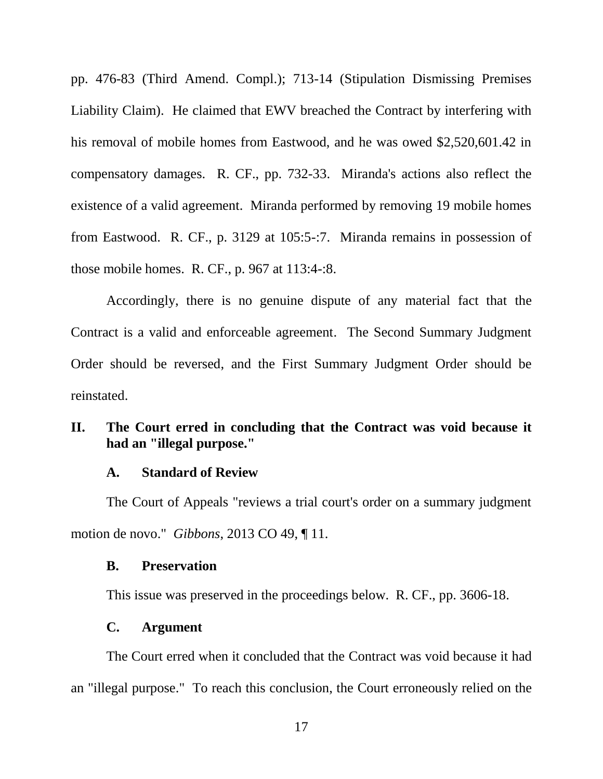pp. 476-83 (Third Amend. Compl.); 713-14 (Stipulation Dismissing Premises Liability Claim). He claimed that EWV breached the Contract by interfering with his removal of mobile homes from Eastwood, and he was owed \$2,520,601.42 in compensatory damages. R. CF., pp. 732-33. Miranda's actions also reflect the existence of a valid agreement. Miranda performed by removing 19 mobile homes from Eastwood. R. CF., p. 3129 at 105:5-:7. Miranda remains in possession of those mobile homes. R. CF., p. 967 at 113:4-:8.

Accordingly, there is no genuine dispute of any material fact that the Contract is a valid and enforceable agreement. The Second Summary Judgment Order should be reversed, and the First Summary Judgment Order should be reinstated.

## <span id="page-24-0"></span>**II. The Court erred in concluding that the Contract was void because it had an "illegal purpose."**

#### **A. Standard of Review**

<span id="page-24-1"></span>The Court of Appeals "reviews a trial court's order on a summary judgment motion de novo." *Gibbons*, 2013 CO 49, ¶ 11.

#### <span id="page-24-4"></span><span id="page-24-2"></span>**B. Preservation**

This issue was preserved in the proceedings below. R. CF., pp. 3606-18.

#### **C. Argument**

<span id="page-24-3"></span>The Court erred when it concluded that the Contract was void because it had an "illegal purpose." To reach this conclusion, the Court erroneously relied on the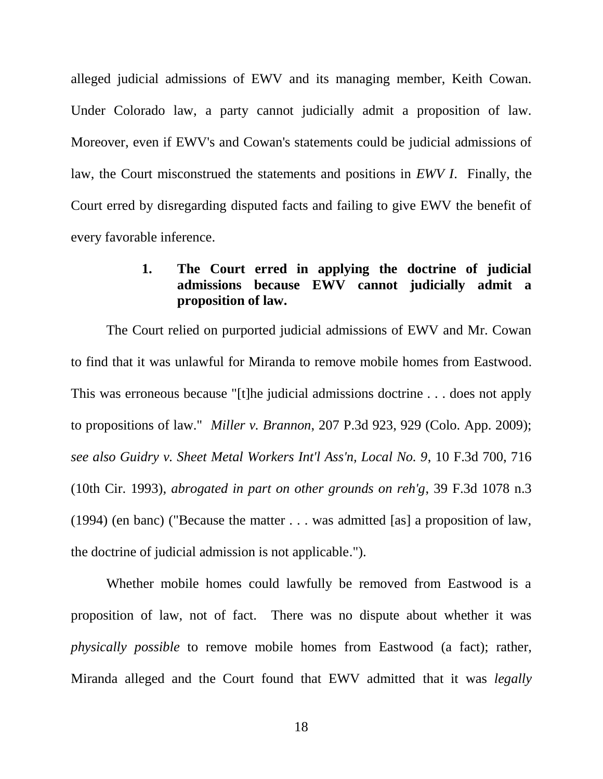alleged judicial admissions of EWV and its managing member, Keith Cowan. Under Colorado law, a party cannot judicially admit a proposition of law. Moreover, even if EWV's and Cowan's statements could be judicial admissions of law, the Court misconstrued the statements and positions in *EWV I*. Finally, the Court erred by disregarding disputed facts and failing to give EWV the benefit of every favorable inference.

## <span id="page-25-2"></span>**1. The Court erred in applying the doctrine of judicial admissions because EWV cannot judicially admit a proposition of law.**

<span id="page-25-1"></span><span id="page-25-0"></span>The Court relied on purported judicial admissions of EWV and Mr. Cowan to find that it was unlawful for Miranda to remove mobile homes from Eastwood. This was erroneous because "[t]he judicial admissions doctrine . . . does not apply to propositions of law." *Miller v. Brannon*, 207 P.3d 923, 929 (Colo. App. 2009); *see also Guidry v. Sheet Metal Workers Int'l Ass'n, Local No. 9*, 10 F.3d 700, 716 (10th Cir. 1993), *abrogated in part on other grounds on reh'g*, 39 F.3d 1078 n.3 (1994) (en banc) ("Because the matter . . . was admitted [as] a proposition of law, the doctrine of judicial admission is not applicable.").

Whether mobile homes could lawfully be removed from Eastwood is a proposition of law, not of fact. There was no dispute about whether it was *physically possible* to remove mobile homes from Eastwood (a fact); rather, Miranda alleged and the Court found that EWV admitted that it was *legally*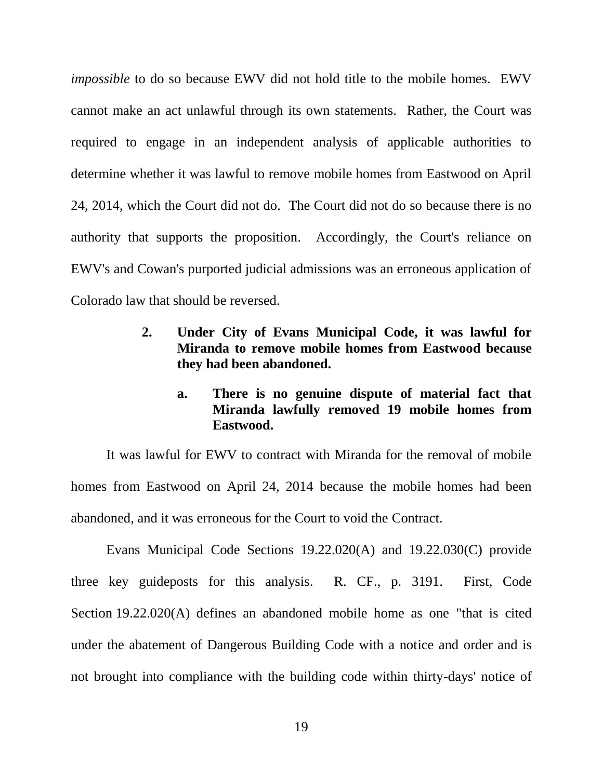*impossible* to do so because EWV did not hold title to the mobile homes. EWV cannot make an act unlawful through its own statements. Rather, the Court was required to engage in an independent analysis of applicable authorities to determine whether it was lawful to remove mobile homes from Eastwood on April 24, 2014, which the Court did not do. The Court did not do so because there is no authority that supports the proposition. Accordingly, the Court's reliance on EWV's and Cowan's purported judicial admissions was an erroneous application of Colorado law that should be reversed.

- <span id="page-26-0"></span>**2. Under City of Evans Municipal Code, it was lawful for Miranda to remove mobile homes from Eastwood because they had been abandoned.** 
	- **a. There is no genuine dispute of material fact that Miranda lawfully removed 19 mobile homes from Eastwood.**

<span id="page-26-1"></span>It was lawful for EWV to contract with Miranda for the removal of mobile homes from Eastwood on April 24, 2014 because the mobile homes had been abandoned, and it was erroneous for the Court to void the Contract.

<span id="page-26-3"></span><span id="page-26-2"></span>Evans Municipal Code Sections 19.22.020(A) and 19.22.030(C) provide three key guideposts for this analysis. R. CF., p. 3191. First, Code Section 19.22.020(A) defines an abandoned mobile home as one "that is cited under the abatement of Dangerous Building Code with a notice and order and is not brought into compliance with the building code within thirty-days' notice of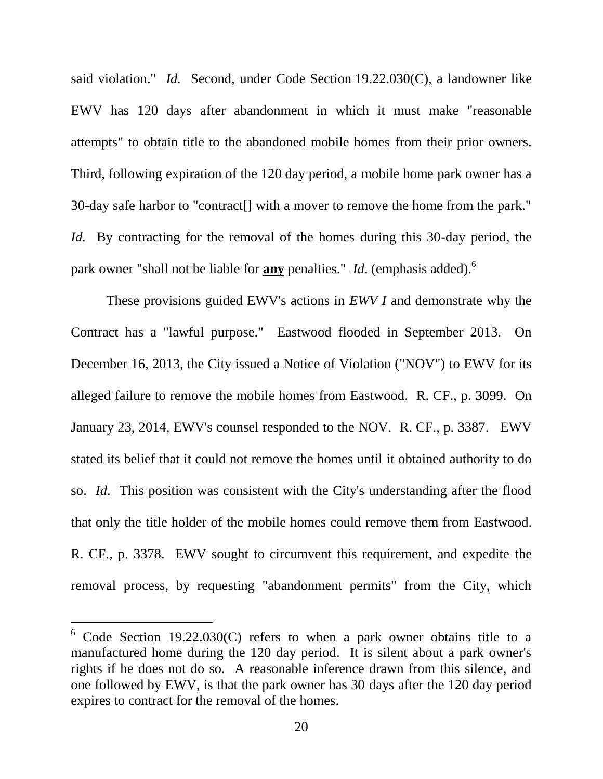<span id="page-27-0"></span>said violation." *Id.* Second, under Code Section 19.22.030(C), a landowner like EWV has 120 days after abandonment in which it must make "reasonable attempts" to obtain title to the abandoned mobile homes from their prior owners. Third, following expiration of the 120 day period, a mobile home park owner has a 30-day safe harbor to "contract[] with a mover to remove the home from the park." *Id.* By contracting for the removal of the homes during this 30-day period, the park owner "shall not be liable for **any** penalties." *Id*. (emphasis added).<sup>6</sup>

These provisions guided EWV's actions in *EWV I* and demonstrate why the Contract has a "lawful purpose." Eastwood flooded in September 2013. On December 16, 2013, the City issued a Notice of Violation ("NOV") to EWV for its alleged failure to remove the mobile homes from Eastwood. R. CF., p. 3099. On January 23, 2014, EWV's counsel responded to the NOV. R. CF., p. 3387. EWV stated its belief that it could not remove the homes until it obtained authority to do so. *Id*. This position was consistent with the City's understanding after the flood that only the title holder of the mobile homes could remove them from Eastwood. R. CF., p. 3378. EWV sought to circumvent this requirement, and expedite the removal process, by requesting "abandonment permits" from the City, which

 $\overline{a}$ 

 $6$  Code Section 19.22.030(C) refers to when a park owner obtains title to a manufactured home during the 120 day period. It is silent about a park owner's rights if he does not do so. A reasonable inference drawn from this silence, and one followed by EWV, is that the park owner has 30 days after the 120 day period expires to contract for the removal of the homes.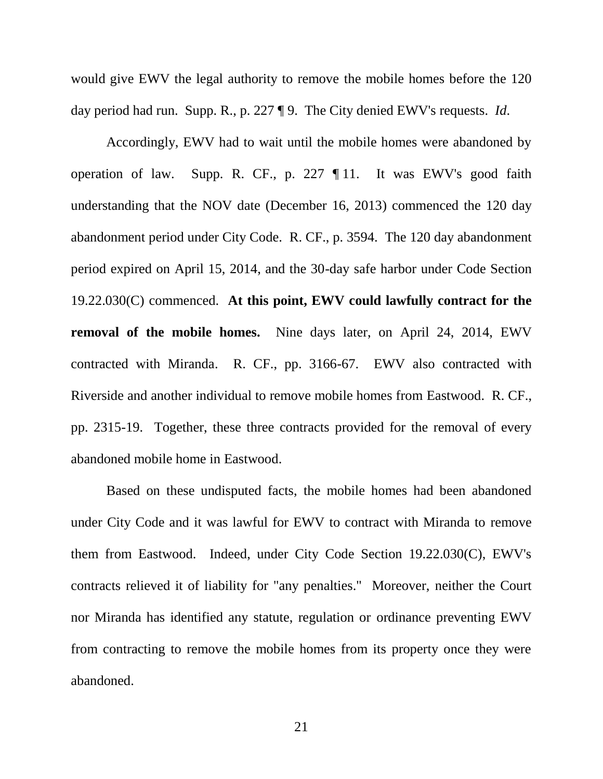would give EWV the legal authority to remove the mobile homes before the 120 day period had run. Supp. R., p. 227 ¶ 9. The City denied EWV's requests. *Id*.

<span id="page-28-0"></span>Accordingly, EWV had to wait until the mobile homes were abandoned by operation of law. Supp. R. CF., p. 227 ¶ 11. It was EWV's good faith understanding that the NOV date (December 16, 2013) commenced the 120 day abandonment period under City Code. R. CF., p. 3594. The 120 day abandonment period expired on April 15, 2014, and the 30-day safe harbor under Code Section 19.22.030(C) commenced. **At this point, EWV could lawfully contract for the removal of the mobile homes.** Nine days later, on April 24, 2014, EWV contracted with Miranda. R. CF., pp. 3166-67. EWV also contracted with Riverside and another individual to remove mobile homes from Eastwood. R. CF., pp. 2315-19. Together, these three contracts provided for the removal of every abandoned mobile home in Eastwood.

Based on these undisputed facts, the mobile homes had been abandoned under City Code and it was lawful for EWV to contract with Miranda to remove them from Eastwood. Indeed, under City Code Section 19.22.030(C), EWV's contracts relieved it of liability for "any penalties." Moreover, neither the Court nor Miranda has identified any statute, regulation or ordinance preventing EWV from contracting to remove the mobile homes from its property once they were abandoned.

21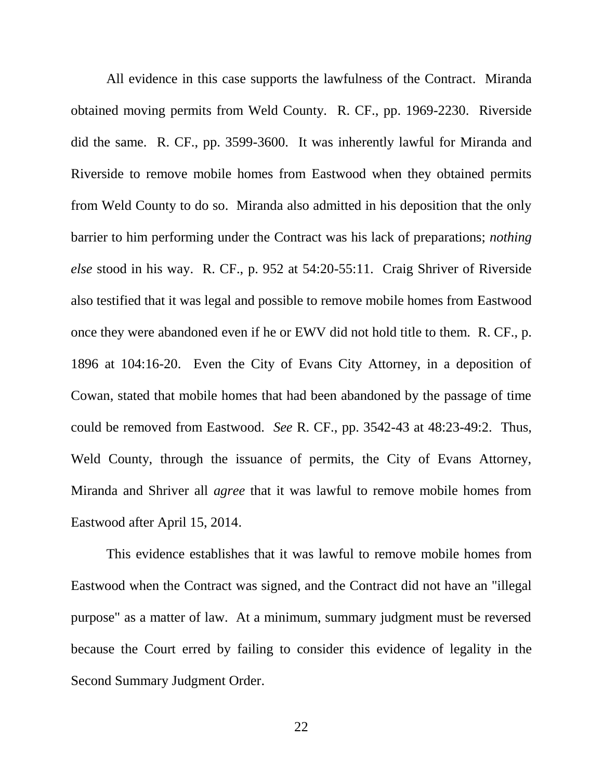All evidence in this case supports the lawfulness of the Contract. Miranda obtained moving permits from Weld County. R. CF., pp. 1969-2230. Riverside did the same. R. CF., pp. 3599-3600. It was inherently lawful for Miranda and Riverside to remove mobile homes from Eastwood when they obtained permits from Weld County to do so. Miranda also admitted in his deposition that the only barrier to him performing under the Contract was his lack of preparations; *nothing else* stood in his way. R. CF., p. 952 at 54:20-55:11. Craig Shriver of Riverside also testified that it was legal and possible to remove mobile homes from Eastwood once they were abandoned even if he or EWV did not hold title to them. R. CF., p. 1896 at 104:16-20. Even the City of Evans City Attorney, in a deposition of Cowan, stated that mobile homes that had been abandoned by the passage of time could be removed from Eastwood. *See* R. CF., pp. 3542-43 at 48:23-49:2. Thus, Weld County, through the issuance of permits, the City of Evans Attorney, Miranda and Shriver all *agree* that it was lawful to remove mobile homes from Eastwood after April 15, 2014.

This evidence establishes that it was lawful to remove mobile homes from Eastwood when the Contract was signed, and the Contract did not have an "illegal purpose" as a matter of law. At a minimum, summary judgment must be reversed because the Court erred by failing to consider this evidence of legality in the Second Summary Judgment Order.

22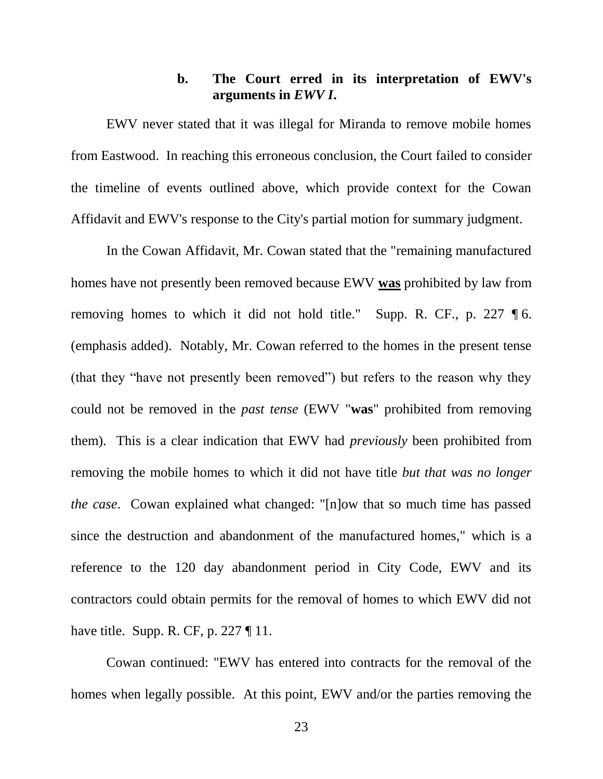## **b. The Court erred in its interpretation of EWV's arguments in** *EWV I***.**

<span id="page-30-0"></span>EWV never stated that it was illegal for Miranda to remove mobile homes from Eastwood. In reaching this erroneous conclusion, the Court failed to consider the timeline of events outlined above, which provide context for the Cowan Affidavit and EWV's response to the City's partial motion for summary judgment.

In the Cowan Affidavit, Mr. Cowan stated that the "remaining manufactured homes have not presently been removed because EWV **was** prohibited by law from removing homes to which it did not hold title." Supp. R. CF., p. 227 ¶ 6. (emphasis added). Notably, Mr. Cowan referred to the homes in the present tense (that they "have not presently been removed") but refers to the reason why they could not be removed in the *past tense* (EWV "**was**" prohibited from removing them). This is a clear indication that EWV had *previously* been prohibited from removing the mobile homes to which it did not have title *but that was no longer the case*. Cowan explained what changed: "[n]ow that so much time has passed since the destruction and abandonment of the manufactured homes," which is a reference to the 120 day abandonment period in City Code, EWV and its contractors could obtain permits for the removal of homes to which EWV did not have title. Supp. R. CF, p. 227  $\P$  11.

Cowan continued: "EWV has entered into contracts for the removal of the homes when legally possible. At this point, EWV and/or the parties removing the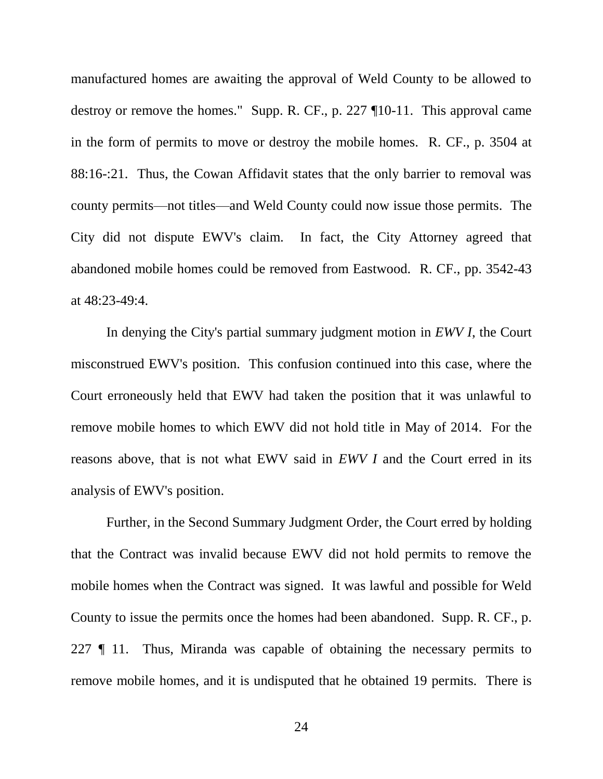manufactured homes are awaiting the approval of Weld County to be allowed to destroy or remove the homes." Supp. R. CF., p. 227 ¶10-11. This approval came in the form of permits to move or destroy the mobile homes. R. CF., p. 3504 at 88:16-:21. Thus, the Cowan Affidavit states that the only barrier to removal was county permits—not titles—and Weld County could now issue those permits. The City did not dispute EWV's claim. In fact, the City Attorney agreed that abandoned mobile homes could be removed from Eastwood. R. CF., pp. 3542-43 at 48:23-49:4.

In denying the City's partial summary judgment motion in *EWV I*, the Court misconstrued EWV's position. This confusion continued into this case, where the Court erroneously held that EWV had taken the position that it was unlawful to remove mobile homes to which EWV did not hold title in May of 2014. For the reasons above, that is not what EWV said in *EWV I* and the Court erred in its analysis of EWV's position.

Further, in the Second Summary Judgment Order, the Court erred by holding that the Contract was invalid because EWV did not hold permits to remove the mobile homes when the Contract was signed. It was lawful and possible for Weld County to issue the permits once the homes had been abandoned. Supp. R. CF., p. 227 ¶ 11. Thus, Miranda was capable of obtaining the necessary permits to remove mobile homes, and it is undisputed that he obtained 19 permits. There is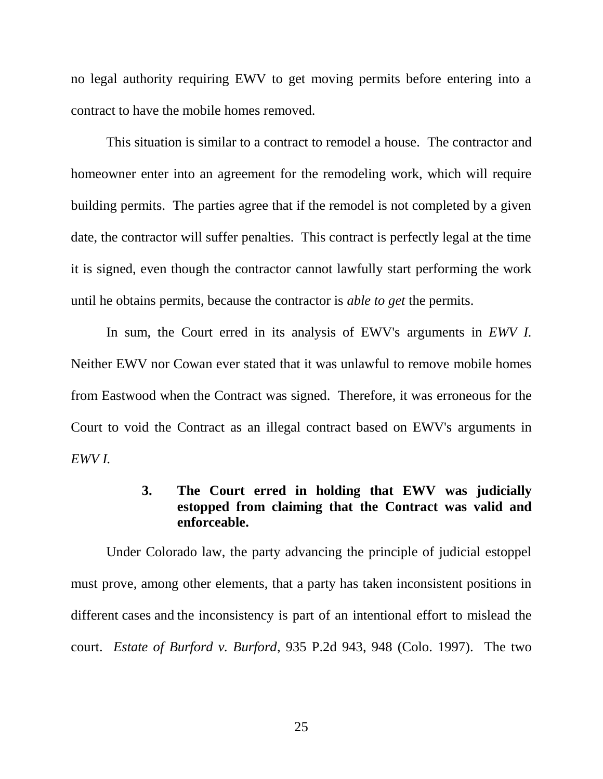no legal authority requiring EWV to get moving permits before entering into a contract to have the mobile homes removed.

This situation is similar to a contract to remodel a house. The contractor and homeowner enter into an agreement for the remodeling work, which will require building permits. The parties agree that if the remodel is not completed by a given date, the contractor will suffer penalties. This contract is perfectly legal at the time it is signed, even though the contractor cannot lawfully start performing the work until he obtains permits, because the contractor is *able to get* the permits.

In sum, the Court erred in its analysis of EWV's arguments in *EWV I.*  Neither EWV nor Cowan ever stated that it was unlawful to remove mobile homes from Eastwood when the Contract was signed. Therefore, it was erroneous for the Court to void the Contract as an illegal contract based on EWV's arguments in *EWV I.* 

# **3. The Court erred in holding that EWV was judicially estopped from claiming that the Contract was valid and enforceable.**

<span id="page-32-1"></span><span id="page-32-0"></span>Under Colorado law, the party advancing the principle of judicial estoppel must prove, among other elements, that a party has taken inconsistent positions in different cases and the inconsistency is part of an intentional effort to mislead the court. *Estate of Burford v. Burford*, 935 P.2d 943, 948 (Colo. 1997). The two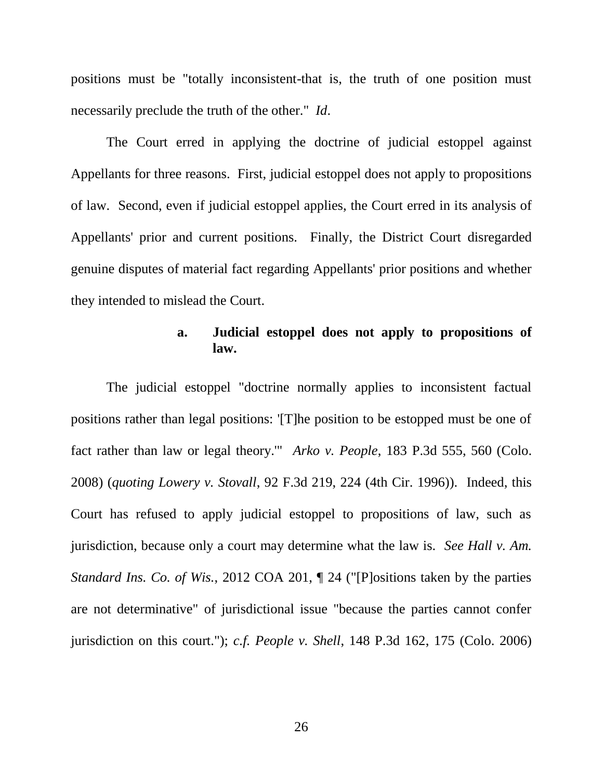positions must be "totally inconsistent-that is, the truth of one position must necessarily preclude the truth of the other." *Id*.

The Court erred in applying the doctrine of judicial estoppel against Appellants for three reasons. First, judicial estoppel does not apply to propositions of law. Second, even if judicial estoppel applies, the Court erred in its analysis of Appellants' prior and current positions. Finally, the District Court disregarded genuine disputes of material fact regarding Appellants' prior positions and whether they intended to mislead the Court.

## <span id="page-33-3"></span><span id="page-33-1"></span>**a. Judicial estoppel does not apply to propositions of law.**

<span id="page-33-2"></span><span id="page-33-0"></span>The judicial estoppel "doctrine normally applies to inconsistent factual positions rather than legal positions: '[T]he position to be estopped must be one of fact rather than law or legal theory.'" *Arko v. People*, 183 P.3d 555, 560 (Colo. 2008) (*quoting Lowery v. Stovall*, 92 F.3d 219, 224 (4th Cir. 1996)). Indeed, this Court has refused to apply judicial estoppel to propositions of law, such as jurisdiction, because only a court may determine what the law is. *See Hall v. Am. Standard Ins. Co. of Wis.*, 2012 COA 201, ¶ 24 ("[P]ositions taken by the parties are not determinative" of jurisdictional issue "because the parties cannot confer jurisdiction on this court."); *c.f. People v. Shell*, 148 P.3d 162, 175 (Colo. 2006)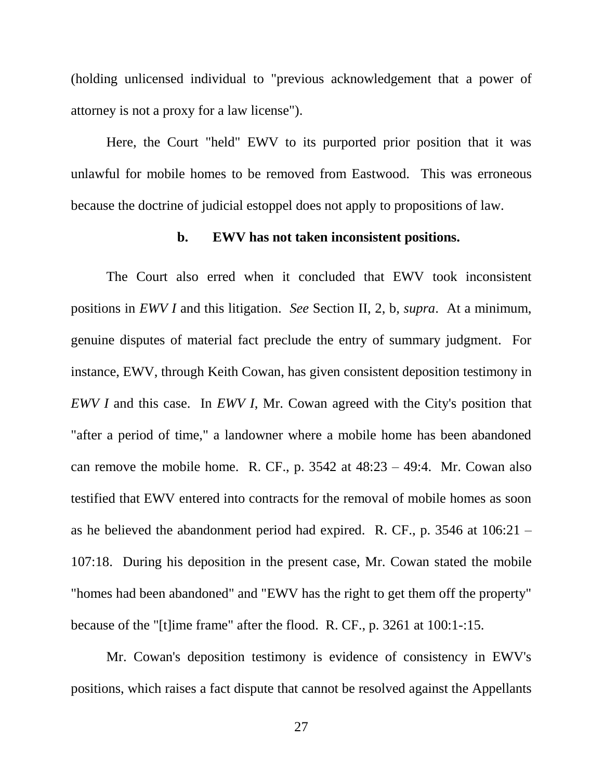(holding unlicensed individual to "previous acknowledgement that a power of attorney is not a proxy for a law license").

Here, the Court "held" EWV to its purported prior position that it was unlawful for mobile homes to be removed from Eastwood. This was erroneous because the doctrine of judicial estoppel does not apply to propositions of law.

#### **b. EWV has not taken inconsistent positions.**

<span id="page-34-0"></span>The Court also erred when it concluded that EWV took inconsistent positions in *EWV I* and this litigation. *See* Section II, 2, b, *supra*. At a minimum, genuine disputes of material fact preclude the entry of summary judgment. For instance, EWV, through Keith Cowan, has given consistent deposition testimony in *EWV I* and this case. In *EWV I*, Mr. Cowan agreed with the City's position that "after a period of time," a landowner where a mobile home has been abandoned can remove the mobile home. R. CF., p.  $3542$  at  $48:23 - 49:4$ . Mr. Cowan also testified that EWV entered into contracts for the removal of mobile homes as soon as he believed the abandonment period had expired. R. CF., p. 3546 at 106:21 – 107:18. During his deposition in the present case, Mr. Cowan stated the mobile "homes had been abandoned" and "EWV has the right to get them off the property" because of the "[t]ime frame" after the flood. R. CF., p. 3261 at 100:1-:15.

Mr. Cowan's deposition testimony is evidence of consistency in EWV's positions, which raises a fact dispute that cannot be resolved against the Appellants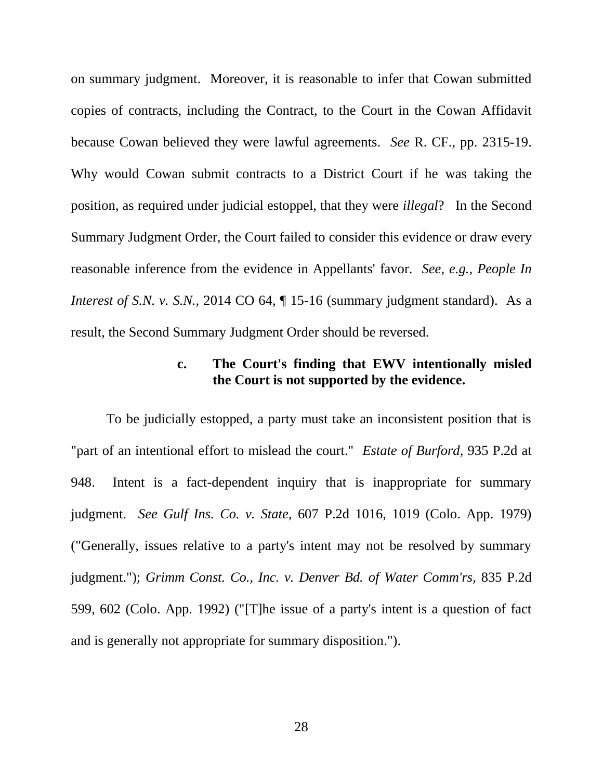on summary judgment. Moreover, it is reasonable to infer that Cowan submitted copies of contracts, including the Contract, to the Court in the Cowan Affidavit because Cowan believed they were lawful agreements. *See* R. CF., pp. 2315-19. Why would Cowan submit contracts to a District Court if he was taking the position, as required under judicial estoppel, that they were *illegal*? In the Second Summary Judgment Order, the Court failed to consider this evidence or draw every reasonable inference from the evidence in Appellants' favor. *See, e.g., People In Interest of S.N. v. S.N., 2014 CO 64,* 15-16 (summary judgment standard). As a result, the Second Summary Judgment Order should be reversed.

# <span id="page-35-4"></span><span id="page-35-1"></span>**c. The Court's finding that EWV intentionally misled the Court is not supported by the evidence.**

<span id="page-35-3"></span><span id="page-35-2"></span><span id="page-35-0"></span>To be judicially estopped, a party must take an inconsistent position that is "part of an intentional effort to mislead the court." *Estate of Burford*, 935 P.2d at 948. Intent is a fact-dependent inquiry that is inappropriate for summary judgment. *See Gulf Ins. Co. v. State,* 607 P.2d 1016, 1019 (Colo. App. 1979) ("Generally, issues relative to a party's intent may not be resolved by summary judgment."); *Grimm Const. Co., Inc. v. Denver Bd. of Water Comm'rs,* 835 P.2d 599, 602 (Colo. App. 1992) ("[T]he issue of a party's intent is a question of fact and is generally not appropriate for summary disposition.").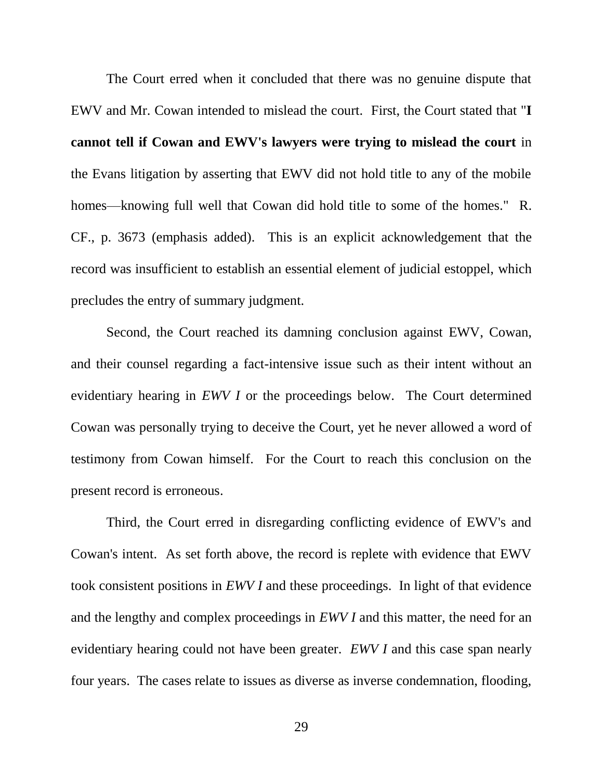The Court erred when it concluded that there was no genuine dispute that EWV and Mr. Cowan intended to mislead the court. First, the Court stated that "**I cannot tell if Cowan and EWV's lawyers were trying to mislead the court** in the Evans litigation by asserting that EWV did not hold title to any of the mobile homes—knowing full well that Cowan did hold title to some of the homes." R. CF., p. 3673 (emphasis added). This is an explicit acknowledgement that the record was insufficient to establish an essential element of judicial estoppel, which precludes the entry of summary judgment.

Second, the Court reached its damning conclusion against EWV, Cowan, and their counsel regarding a fact-intensive issue such as their intent without an evidentiary hearing in *EWV I* or the proceedings below. The Court determined Cowan was personally trying to deceive the Court, yet he never allowed a word of testimony from Cowan himself. For the Court to reach this conclusion on the present record is erroneous.

Third, the Court erred in disregarding conflicting evidence of EWV's and Cowan's intent. As set forth above, the record is replete with evidence that EWV took consistent positions in *EWV I* and these proceedings. In light of that evidence and the lengthy and complex proceedings in *EWV I* and this matter, the need for an evidentiary hearing could not have been greater. *EWV I* and this case span nearly four years. The cases relate to issues as diverse as inverse condemnation, flooding,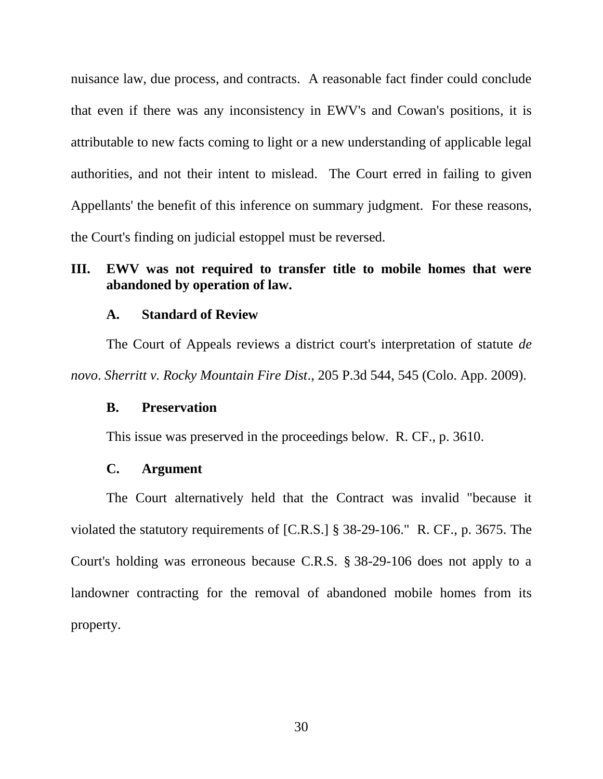nuisance law, due process, and contracts. A reasonable fact finder could conclude that even if there was any inconsistency in EWV's and Cowan's positions, it is attributable to new facts coming to light or a new understanding of applicable legal authorities, and not their intent to mislead. The Court erred in failing to given Appellants' the benefit of this inference on summary judgment. For these reasons, the Court's finding on judicial estoppel must be reversed.

### <span id="page-37-0"></span>**III. EWV was not required to transfer title to mobile homes that were abandoned by operation of law.**

#### **A. Standard of Review**

<span id="page-37-1"></span>The Court of Appeals reviews a district court's interpretation of statute *de novo*. *Sherritt v. Rocky Mountain Fire Dist*., 205 P.3d 544, 545 (Colo. App. 2009).

### <span id="page-37-4"></span><span id="page-37-2"></span>**B. Preservation**

This issue was preserved in the proceedings below. R. CF., p. 3610.

#### <span id="page-37-5"></span>**C. Argument**

<span id="page-37-3"></span>The Court alternatively held that the Contract was invalid "because it violated the statutory requirements of [C.R.S.] § 38-29-106." R. CF., p. 3675. The Court's holding was erroneous because C.R.S. § 38-29-106 does not apply to a landowner contracting for the removal of abandoned mobile homes from its property.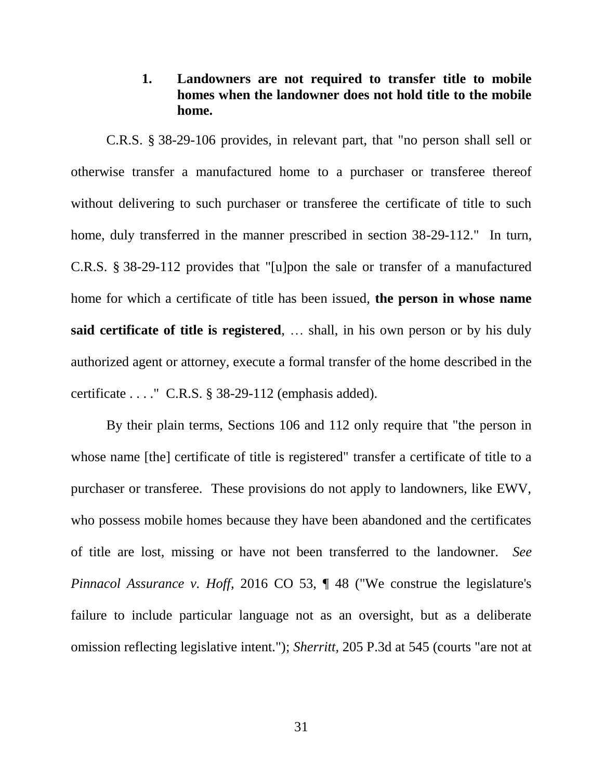## <span id="page-38-4"></span>**1. Landowners are not required to transfer title to mobile homes when the landowner does not hold title to the mobile home.**

<span id="page-38-3"></span><span id="page-38-0"></span>C.R.S. § 38-29-106 provides, in relevant part, that "no person shall sell or otherwise transfer a manufactured home to a purchaser or transferee thereof without delivering to such purchaser or transferee the certificate of title to such home, duly transferred in the manner prescribed in section 38-29-112." In turn, C.R.S. § 38-29-112 provides that "[u]pon the sale or transfer of a manufactured home for which a certificate of title has been issued, **the person in whose name said certificate of title is registered**, … shall, in his own person or by his duly authorized agent or attorney, execute a formal transfer of the home described in the certificate . . . ." C.R.S. § 38-29-112 (emphasis added).

<span id="page-38-2"></span><span id="page-38-1"></span>By their plain terms, Sections 106 and 112 only require that "the person in whose name [the] certificate of title is registered" transfer a certificate of title to a purchaser or transferee. These provisions do not apply to landowners, like EWV, who possess mobile homes because they have been abandoned and the certificates of title are lost, missing or have not been transferred to the landowner. *See Pinnacol Assurance v. Hoff,* 2016 CO 53,  $\parallel$  48 ("We construe the legislature's failure to include particular language not as an oversight, but as a deliberate omission reflecting legislative intent."); *Sherritt,* 205 P.3d at 545 (courts "are not at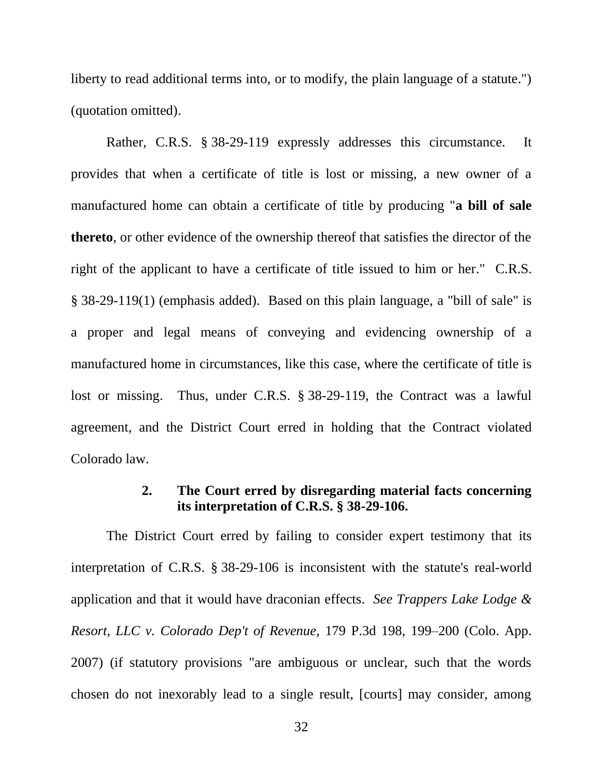liberty to read additional terms into, or to modify, the plain language of a statute.") (quotation omitted).

<span id="page-39-3"></span>Rather, C.R.S. § 38-29-119 expressly addresses this circumstance. It provides that when a certificate of title is lost or missing, a new owner of a manufactured home can obtain a certificate of title by producing "**a bill of sale thereto**, or other evidence of the ownership thereof that satisfies the director of the right of the applicant to have a certificate of title issued to him or her." C.R.S. § 38-29-119(1) (emphasis added). Based on this plain language, a "bill of sale" is a proper and legal means of conveying and evidencing ownership of a manufactured home in circumstances, like this case, where the certificate of title is lost or missing. Thus, under C.R.S. § 38-29-119, the Contract was a lawful agreement, and the District Court erred in holding that the Contract violated Colorado law.

# <span id="page-39-2"></span><span id="page-39-1"></span>**2. The Court erred by disregarding material facts concerning its interpretation of C.R.S. § 38-29-106.**

<span id="page-39-0"></span>The District Court erred by failing to consider expert testimony that its interpretation of C.R.S. § 38-29-106 is inconsistent with the statute's real-world application and that it would have draconian effects. *See Trappers Lake Lodge & Resort, LLC v. Colorado Dep't of Revenue,* 179 P.3d 198, 199–200 (Colo. App. 2007) (if statutory provisions "are ambiguous or unclear, such that the words chosen do not inexorably lead to a single result, [courts] may consider, among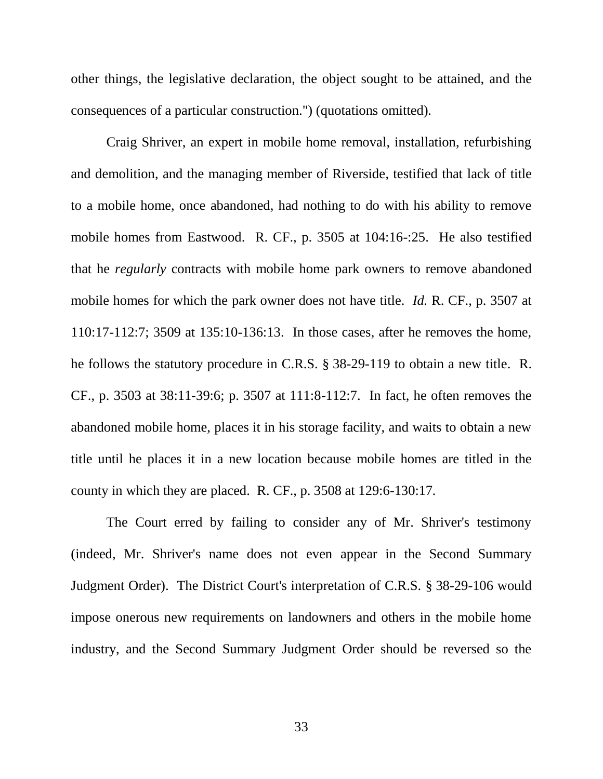other things, the legislative declaration, the object sought to be attained, and the consequences of a particular construction.") (quotations omitted).

Craig Shriver, an expert in mobile home removal, installation, refurbishing and demolition, and the managing member of Riverside, testified that lack of title to a mobile home, once abandoned, had nothing to do with his ability to remove mobile homes from Eastwood. R. CF., p. 3505 at 104:16-:25. He also testified that he *regularly* contracts with mobile home park owners to remove abandoned mobile homes for which the park owner does not have title. *Id.* R. CF., p. 3507 at 110:17-112:7; 3509 at 135:10-136:13. In those cases, after he removes the home, he follows the statutory procedure in C.R.S. § 38-29-119 to obtain a new title. R. CF., p. 3503 at 38:11-39:6; p. 3507 at 111:8-112:7. In fact, he often removes the abandoned mobile home, places it in his storage facility, and waits to obtain a new title until he places it in a new location because mobile homes are titled in the county in which they are placed. R. CF., p. 3508 at 129:6-130:17*.* 

<span id="page-40-1"></span>The Court erred by failing to consider any of Mr. Shriver's testimony (indeed, Mr. Shriver's name does not even appear in the Second Summary Judgment Order). The District Court's interpretation of C.R.S. § 38-29-106 would impose onerous new requirements on landowners and others in the mobile home industry, and the Second Summary Judgment Order should be reversed so the

<span id="page-40-0"></span>33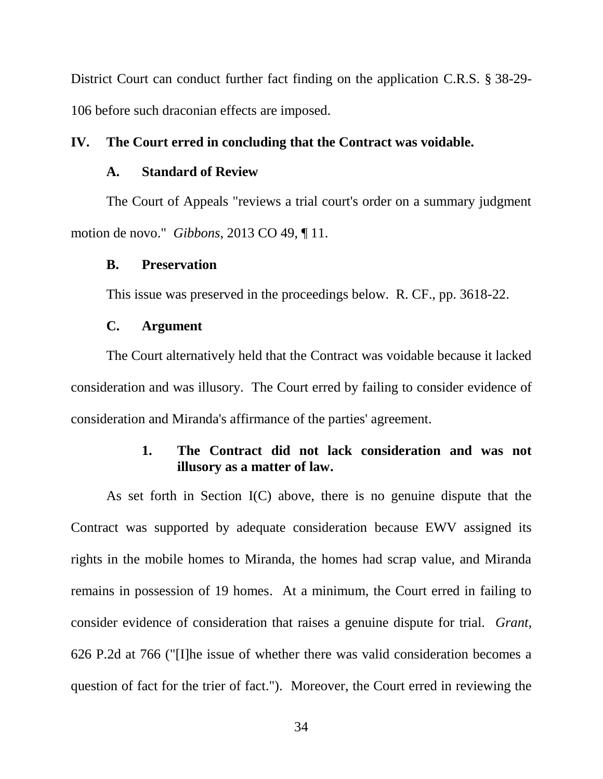District Court can conduct further fact finding on the application C.R.S. § 38-29- 106 before such draconian effects are imposed.

### <span id="page-41-1"></span><span id="page-41-0"></span>**IV. The Court erred in concluding that the Contract was voidable.**

### **A. Standard of Review**

The Court of Appeals "reviews a trial court's order on a summary judgment motion de novo." *Gibbons*, 2013 CO 49, ¶ 11.

#### <span id="page-41-2"></span>**B. Preservation**

This issue was preserved in the proceedings below. R. CF., pp. 3618-22.

#### **C. Argument**

<span id="page-41-3"></span>The Court alternatively held that the Contract was voidable because it lacked consideration and was illusory. The Court erred by failing to consider evidence of consideration and Miranda's affirmance of the parties' agreement.

# <span id="page-41-5"></span>**1. The Contract did not lack consideration and was not illusory as a matter of law.**

<span id="page-41-4"></span>As set forth in Section I(C) above, there is no genuine dispute that the Contract was supported by adequate consideration because EWV assigned its rights in the mobile homes to Miranda, the homes had scrap value, and Miranda remains in possession of 19 homes. At a minimum, the Court erred in failing to consider evidence of consideration that raises a genuine dispute for trial. *Grant*, 626 P.2d at 766 ("[I]he issue of whether there was valid consideration becomes a question of fact for the trier of fact."). Moreover, the Court erred in reviewing the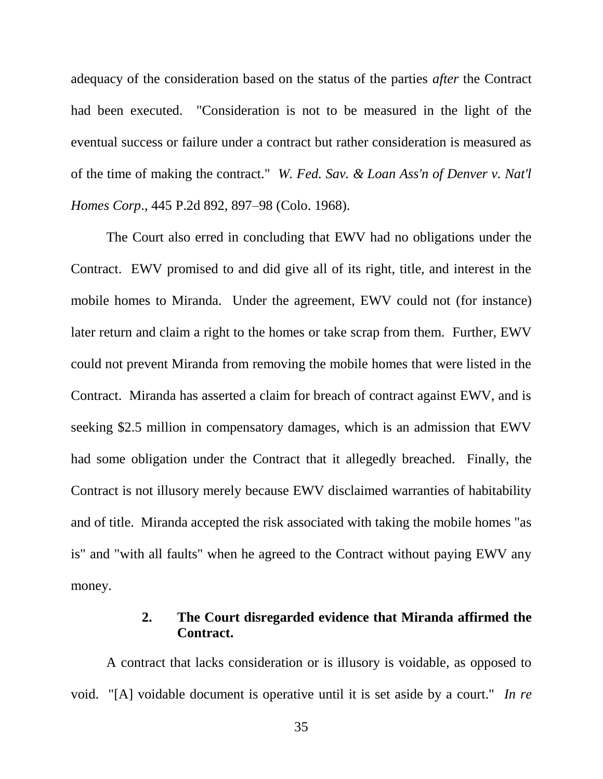adequacy of the consideration based on the status of the parties *after* the Contract had been executed. "Consideration is not to be measured in the light of the eventual success or failure under a contract but rather consideration is measured as of the time of making the contract." *W. Fed. Sav. & Loan Ass'n of Denver v. Nat'l Homes Corp*., 445 P.2d 892, 897–98 (Colo. 1968).

<span id="page-42-2"></span>The Court also erred in concluding that EWV had no obligations under the Contract. EWV promised to and did give all of its right, title, and interest in the mobile homes to Miranda. Under the agreement, EWV could not (for instance) later return and claim a right to the homes or take scrap from them. Further, EWV could not prevent Miranda from removing the mobile homes that were listed in the Contract. Miranda has asserted a claim for breach of contract against EWV, and is seeking \$2.5 million in compensatory damages, which is an admission that EWV had some obligation under the Contract that it allegedly breached. Finally, the Contract is not illusory merely because EWV disclaimed warranties of habitability and of title. Miranda accepted the risk associated with taking the mobile homes "as is" and "with all faults" when he agreed to the Contract without paying EWV any money.

### <span id="page-42-1"></span>**2. The Court disregarded evidence that Miranda affirmed the Contract.**

<span id="page-42-0"></span>A contract that lacks consideration or is illusory is voidable, as opposed to void. "[A] voidable document is operative until it is set aside by a court." *In re*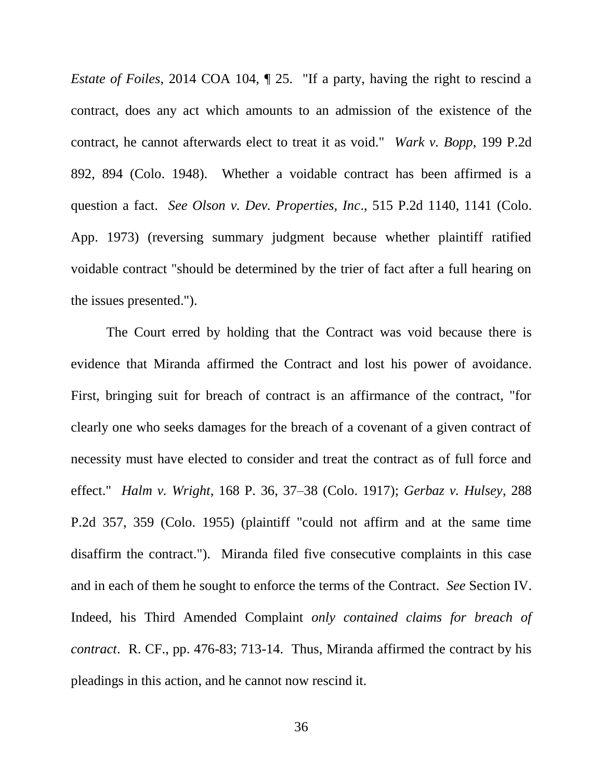<span id="page-43-3"></span><span id="page-43-2"></span>*Estate of Foiles*, 2014 COA 104,  $\parallel$  25. "If a party, having the right to rescind a contract, does any act which amounts to an admission of the existence of the contract, he cannot afterwards elect to treat it as void." *Wark v. Bopp*, 199 P.2d 892, 894 (Colo. 1948). Whether a voidable contract has been affirmed is a question a fact. *See Olson v. Dev. Properties, Inc*., 515 P.2d 1140, 1141 (Colo. App. 1973) (reversing summary judgment because whether plaintiff ratified voidable contract "should be determined by the trier of fact after a full hearing on the issues presented.").

<span id="page-43-1"></span><span id="page-43-0"></span>The Court erred by holding that the Contract was void because there is evidence that Miranda affirmed the Contract and lost his power of avoidance. First, bringing suit for breach of contract is an affirmance of the contract, "for clearly one who seeks damages for the breach of a covenant of a given contract of necessity must have elected to consider and treat the contract as of full force and effect." *Halm v. Wright*, 168 P. 36, 37–38 (Colo. 1917); *Gerbaz v. Hulsey*, 288 P.2d 357, 359 (Colo. 1955) (plaintiff "could not affirm and at the same time disaffirm the contract."). Miranda filed five consecutive complaints in this case and in each of them he sought to enforce the terms of the Contract. *See* Section IV. Indeed, his Third Amended Complaint *only contained claims for breach of contract*. R. CF., pp. 476-83; 713-14. Thus, Miranda affirmed the contract by his pleadings in this action, and he cannot now rescind it.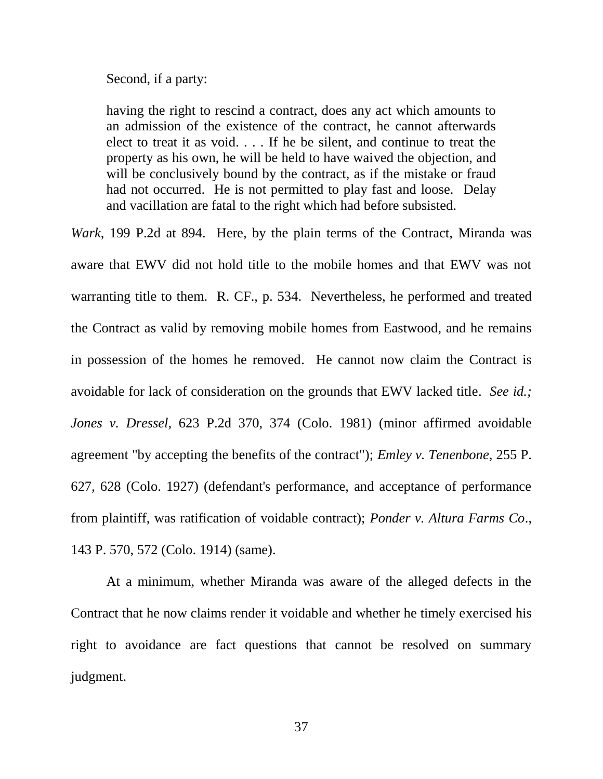Second, if a party:

having the right to rescind a contract, does any act which amounts to an admission of the existence of the contract, he cannot afterwards elect to treat it as void. . . . If he be silent, and continue to treat the property as his own, he will be held to have waived the objection, and will be conclusively bound by the contract, as if the mistake or fraud had not occurred. He is not permitted to play fast and loose. Delay and vacillation are fatal to the right which had before subsisted.

<span id="page-44-3"></span>*Wark*, 199 P.2d at 894. Here, by the plain terms of the Contract, Miranda was aware that EWV did not hold title to the mobile homes and that EWV was not warranting title to them. R. CF., p. 534. Nevertheless, he performed and treated the Contract as valid by removing mobile homes from Eastwood, and he remains in possession of the homes he removed. He cannot now claim the Contract is avoidable for lack of consideration on the grounds that EWV lacked title. *See id.; Jones v. Dressel,* 623 P.2d 370, 374 (Colo. 1981) (minor affirmed avoidable agreement "by accepting the benefits of the contract"); *Emley v. Tenenbone,* 255 P. 627, 628 (Colo. 1927) (defendant's performance, and acceptance of performance from plaintiff, was ratification of voidable contract); *Ponder v. Altura Farms Co*., 143 P. 570, 572 (Colo. 1914) (same).

<span id="page-44-2"></span><span id="page-44-1"></span><span id="page-44-0"></span>At a minimum, whether Miranda was aware of the alleged defects in the Contract that he now claims render it voidable and whether he timely exercised his right to avoidance are fact questions that cannot be resolved on summary judgment.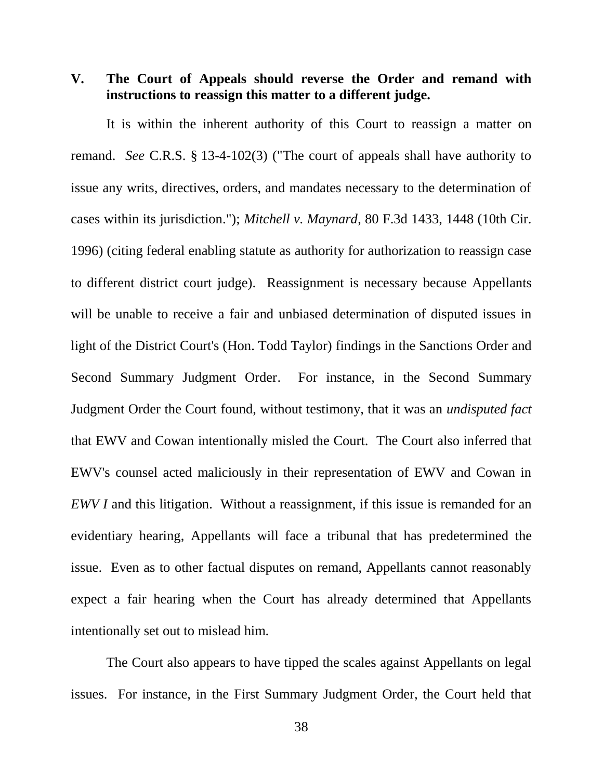<span id="page-45-0"></span>**V. The Court of Appeals should reverse the Order and remand with instructions to reassign this matter to a different judge.**

<span id="page-45-2"></span><span id="page-45-1"></span>It is within the inherent authority of this Court to reassign a matter on remand. *See* C.R.S. § 13-4-102(3) ("The court of appeals shall have authority to issue any writs, directives, orders, and mandates necessary to the determination of cases within its jurisdiction."); *Mitchell v. Maynard*, 80 F.3d 1433, 1448 (10th Cir. 1996) (citing federal enabling statute as authority for authorization to reassign case to different district court judge). Reassignment is necessary because Appellants will be unable to receive a fair and unbiased determination of disputed issues in light of the District Court's (Hon. Todd Taylor) findings in the Sanctions Order and Second Summary Judgment Order. For instance, in the Second Summary Judgment Order the Court found, without testimony, that it was an *undisputed fact* that EWV and Cowan intentionally misled the Court. The Court also inferred that EWV's counsel acted maliciously in their representation of EWV and Cowan in *EWV I* and this litigation. Without a reassignment, if this issue is remanded for an evidentiary hearing, Appellants will face a tribunal that has predetermined the issue. Even as to other factual disputes on remand, Appellants cannot reasonably expect a fair hearing when the Court has already determined that Appellants intentionally set out to mislead him.

The Court also appears to have tipped the scales against Appellants on legal issues. For instance, in the First Summary Judgment Order, the Court held that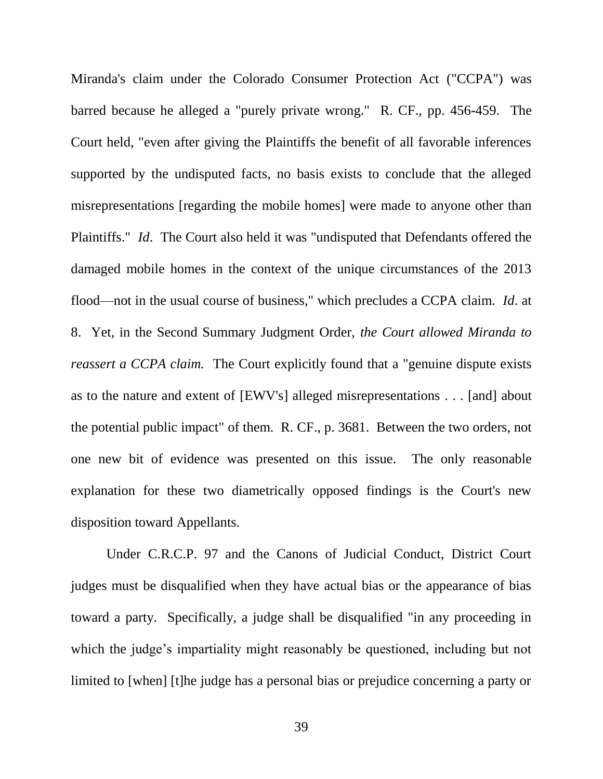Miranda's claim under the Colorado Consumer Protection Act ("CCPA") was barred because he alleged a "purely private wrong." R. CF., pp. 456-459. The Court held, "even after giving the Plaintiffs the benefit of all favorable inferences supported by the undisputed facts, no basis exists to conclude that the alleged misrepresentations [regarding the mobile homes] were made to anyone other than Plaintiffs." *Id*. The Court also held it was "undisputed that Defendants offered the damaged mobile homes in the context of the unique circumstances of the 2013 flood—not in the usual course of business," which precludes a CCPA claim. *Id*. at 8. Yet, in the Second Summary Judgment Order, *the Court allowed Miranda to reassert a CCPA claim.* The Court explicitly found that a "genuine dispute exists" as to the nature and extent of [EWV's] alleged misrepresentations . . . [and] about the potential public impact" of them. R. CF., p. 3681. Between the two orders, not one new bit of evidence was presented on this issue. The only reasonable explanation for these two diametrically opposed findings is the Court's new disposition toward Appellants.

<span id="page-46-0"></span>Under C.R.C.P. 97 and the Canons of Judicial Conduct, District Court judges must be disqualified when they have actual bias or the appearance of bias toward a party. Specifically, a judge shall be disqualified "in any proceeding in which the judge's impartiality might reasonably be questioned, including but not limited to [when] [t]he judge has a personal bias or prejudice concerning a party or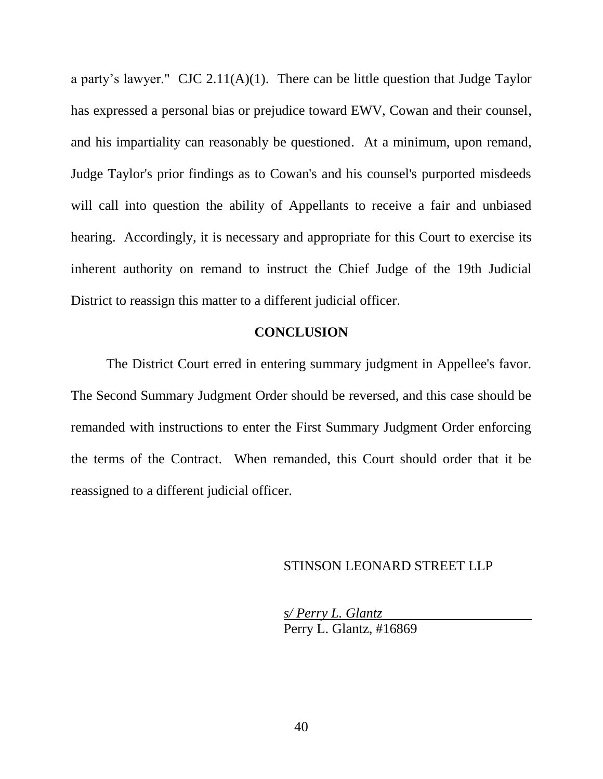a party's lawyer." CJC 2.11(A)(1). There can be little question that Judge Taylor has expressed a personal bias or prejudice toward EWV, Cowan and their counsel, and his impartiality can reasonably be questioned. At a minimum, upon remand, Judge Taylor's prior findings as to Cowan's and his counsel's purported misdeeds will call into question the ability of Appellants to receive a fair and unbiased hearing. Accordingly, it is necessary and appropriate for this Court to exercise its inherent authority on remand to instruct the Chief Judge of the 19th Judicial District to reassign this matter to a different judicial officer.

### **CONCLUSION**

The District Court erred in entering summary judgment in Appellee's favor. The Second Summary Judgment Order should be reversed, and this case should be remanded with instructions to enter the First Summary Judgment Order enforcing the terms of the Contract. When remanded, this Court should order that it be reassigned to a different judicial officer.

#### STINSON LEONARD STREET LLP

*s/ Perry L. Glantz* Perry L. Glantz, #16869